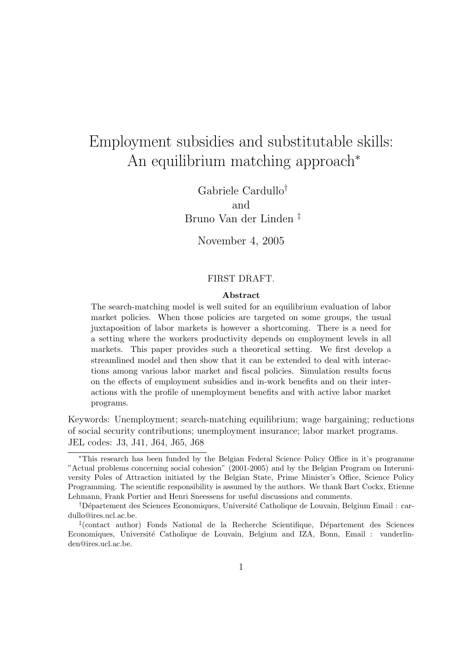# Employment subsidies and substitutable skills: An equilibrium matching approach<sup>∗</sup>

Gabriele Cardullo† and Bruno Van der Linden ‡

November 4, 2005

#### FIRST DRAFT.

#### **Abstract**

The search-matching model is well suited for an equilibrium evaluation of labor market policies. When those policies are targeted on some groups, the usual juxtaposition of labor markets is however a shortcoming. There is a need for a setting where the workers productivity depends on employment levels in all markets. This paper provides such a theoretical setting. We first develop a streamlined model and then show that it can be extended to deal with interactions among various labor market and fiscal policies. Simulation results focus on the effects of employment subsidies and in-work benefits and on their interactions with the profile of unemployment benefits and with active labor market programs.

Keywords: Unemployment; search-matching equilibrium; wage bargaining; reductions of social security contributions; unemployment insurance; labor market programs. JEL codes: J3, J41, J64, J65, J68

<sup>∗</sup>This research has been funded by the Belgian Federal Science Policy Office in it's programme "Actual problems concerning social cohesion" (2001-2005) and by the Belgian Program on Interuniversity Poles of Attraction initiated by the Belgian State, Prime Minister's Office, Science Policy Programming. The scientific responsibility is assumed by the authors. We thank Bart Cockx, Etienne Lehmann, Frank Portier and Henri Sneessens for useful discussions and comments.

<sup>&</sup>lt;sup>†</sup>Département des Sciences Economiques, Université Catholique de Louvain, Belgium Email : cardullo@ires.ucl.ac.be.

 $\frac{1}{2}$ (contact author) Fonds National de la Recherche Scientifique, Département des Sciences Economiques, Université Catholique de Louvain, Belgium and IZA, Bonn, Email : vanderlinden@ires.ucl.ac.be.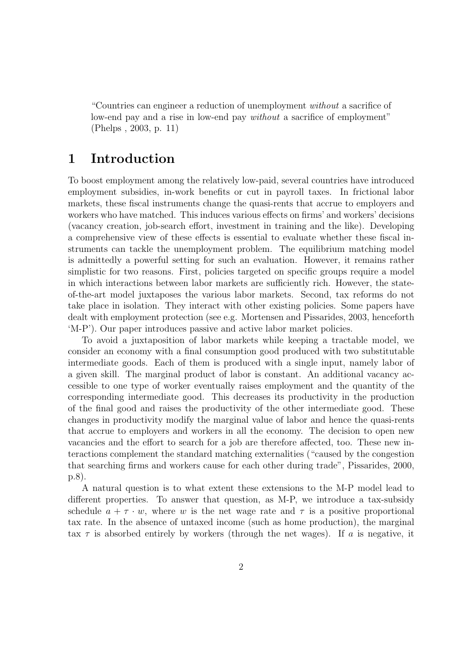"Countries can engineer a reduction of unemployment without a sacrifice of low-end pay and a rise in low-end pay without a sacrifice of employment" (Phelps , 2003, p.11)

### **1 Introduction**

To boost employment among the relatively low-paid, several countries have introduced employment subsidies, in-work benefits or cut in payroll taxes. In frictional labor markets, these fiscal instruments change the quasi-rents that accrue to employers and workers who have matched. This induces various effects on firms' and workers' decisions (vacancy creation, job-search effort, investment in training and the like). Developing a comprehensive view of these effects is essential to evaluate whether these fiscal instruments can tackle the unemployment problem. The equilibrium matching model is admittedly a powerful setting for such an evaluation.However, it remains rather simplistic for two reasons. First, policies targeted on specific groups require a model in which interactions between labor markets are sufficiently rich. However, the stateof-the-art model juxtaposes the various labor markets.Second, tax reforms do not take place in isolation. They interact with other existing policies. Some papers have dealt with employment protection (see e.g. Mortensen and Pissarides, 2003, henceforth 'M-P'). Our paper introduces passive and active labor market policies.

To avoid a juxtaposition of labor markets while keeping a tractable model, we consider an economy with a final consumption good produced with two substitutable intermediate goods.Each of them is produced with a single input, namely labor of a given skill. The marginal product of labor is constant. An additional vacancy accessible to one type of worker eventually raises employment and the quantity of the corresponding intermediate good.This decreases its productivity in the production of the final good and raises the productivity of the other intermediate good.These changes in productivity modify the marginal value of labor and hence the quasi-rents that accrue to employers and workers in all the economy.The decision to open new vacancies and the effort to search for a job are therefore affected, too.These new interactions complement the standard matching externalities ("caused by the congestion that searching firms and workers cause for each other during trade", Pissarides, 2000, p.8).

A natural question is to what extent these extensions to the M-P model lead to different properties. To answer that question, as M-P, we introduce a tax-subsidy schedule  $a + \tau \cdot w$ , where w is the net wage rate and  $\tau$  is a positive proportional tax rate.In the absence of untaxed income (such as home production), the marginal tax  $\tau$  is absorbed entirely by workers (through the net wages). If a is negative, it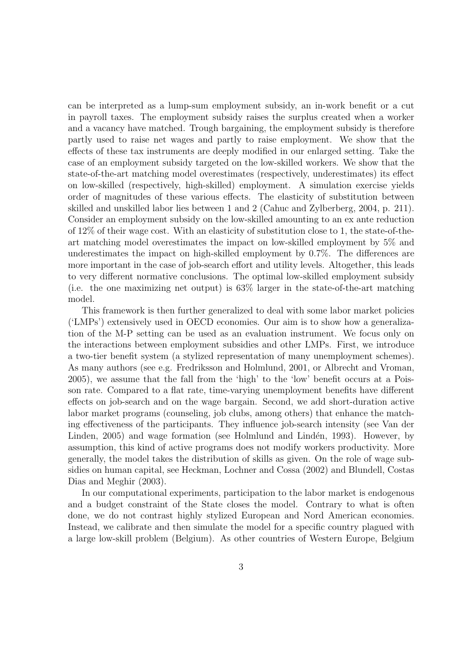can be interpreted as a lump-sum employment subsidy, an in-work benefit or a cut in payroll taxes.The employment subsidy raises the surplus created when a worker and a vacancy have matched. Trough bargaining, the employment subsidy is therefore partly used to raise net wages and partly to raise employment.We show that the effects of these tax instruments are deeply modified in our enlarged setting. Take the case of an employment subsidy targeted on the low-skilled workers.We show that the state-of-the-art matching model overestimates (respectively, underestimates) its effect on low-skilled (respectively, high-skilled) employment.A simulation exercise yields order of magnitudes of these various effects.The elasticity of substitution between skilled and unskilled labor lies between 1 and 2 (Cahuc and Zylberberg, 2004, p.211). Consider an employment subsidy on the low-skilled amounting to an ex ante reduction of  $12\%$  of their wage cost. With an elasticity of substitution close to 1, the state-of-theart matching model overestimates the impact on low-skilled employment by 5% and underestimates the impact on high-skilled employment by 0.7%. The differences are more important in the case of job-search effort and utility levels. Altogether, this leads to very different normative conclusions.The optimal low-skilled employment subsidy (i.e. the one maximizing net output) is 63% larger in the state-of-the-art matching model.

This framework is then further generalized to deal with some labor market policies  $(LMPs')$  extensively used in OECD economies. Our aim is to show how a generalization of the M-P setting can be used as an evaluation instrument.We focus only on the interactions between employment subsidies and other LMPs. First, we introduce a two-tier benefit system (a stylized representation of many unemployment schemes). As many authors (see e.g. Fredriksson and Holmlund, 2001, or Albrecht and Vroman, 2005), we assume that the fall from the 'high' to the 'low' benefit occurs at a Poisson rate.Compared to a flat rate, time-varying unemployment benefits have different effects on job-search and on the wage bargain. Second, we add short-duration active labor market programs (counseling, job clubs, among others) that enhance the matching effectiveness of the participants.They influence job-search intensity (see Van der Linden, 2005) and wage formation (see Holmlund and Lindén, 1993). However, by assumption, this kind of active programs does not modify workers productivity. More generally, the model takes the distribution of skills as given.On the role of wage subsidies on human capital, see Heckman, Lochner and Cossa (2002) and Blundell, Costas Dias and Meghir (2003).

In our computational experiments, participation to the labor market is endogenous and a budget constraint of the State closes the model. Contrary to what is often done, we do not contrast highly stylized European and Nord American economies. Instead, we calibrate and then simulate the model for a specific country plagued with a large low-skill problem (Belgium). As other countries of Western Europe, Belgium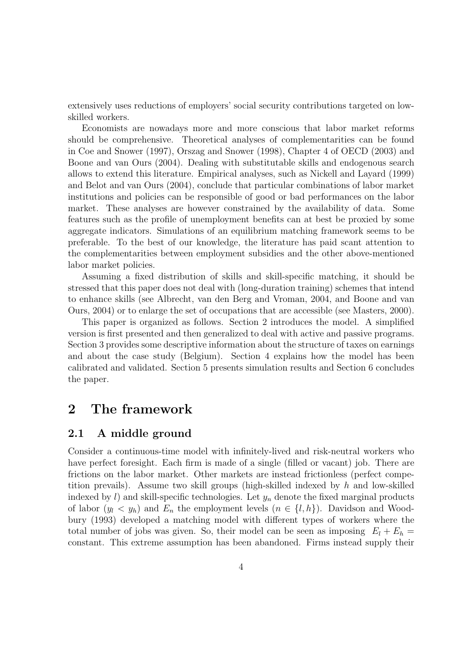extensively uses reductions of employers' social security contributions targeted on lowskilled workers.

Economists are nowadays more and more conscious that labor market reforms should be comprehensive. Theoretical analyses of complementarities can be found in Coe and Snower (1997), Orszag and Snower (1998), Chapter 4 of OECD (2003) and Boone and van Ours (2004). Dealing with substitutable skills and endogenous search allows to extend this literature.Empirical analyses, such as Nickell and Layard (1999) and Belot and van Ours (2004), conclude that particular combinations of labor market institutions and policies can be responsible of good or bad performances on the labor market. These analyses are however constrained by the availability of data. Some features such as the profile of unemployment benefits can at best be proxied by some aggregate indicators. Simulations of an equilibrium matching framework seems to be preferable.To the best of our knowledge, the literature has paid scant attention to the complementarities between employment subsidies and the other above-mentioned labor market policies.

Assuming a fixed distribution of skills and skill-specific matching, it should be stressed that this paper does not deal with (long-duration training) schemes that intend to enhance skills (see Albrecht, van den Berg and Vroman, 2004, and Boone and van Ours, 2004) or to enlarge the set of occupations that are accessible (see Masters, 2000).

This paper is organized as follows. Section 2 introduces the model. A simplified version is first presented and then generalized to deal with active and passive programs. Section 3 provides some descriptive information about the structure of taxes on earnings and about the case study (Belgium). Section 4 explains how the model has been calibrated and validated. Section 5 presents simulation results and Section 6 concludes the paper.

#### **2 The framework**

#### **2.1 A middle ground**

Consider a continuous-time model with infinitely-lived and risk-neutral workers who have perfect foresight. Each firm is made of a single (filled or vacant) job. There are frictions on the labor market. Other markets are instead frictionless (perfect competition prevails). Assume two skill groups (high-skilled indexed by  $h$  and low-skilled indexed by  $l$ ) and skill-specific technologies. Let  $y_n$  denote the fixed marginal products of labor  $(y_l \langle y_h \rangle)$  and  $E_n$  the employment levels  $(n \in \{l, h\})$ . Davidson and Woodbury (1993) developed a matching model with different types of workers where the total number of jobs was given. So, their model can be seen as imposing  $E_l + E_h =$ constant. This extreme assumption has been abandoned. Firms instead supply their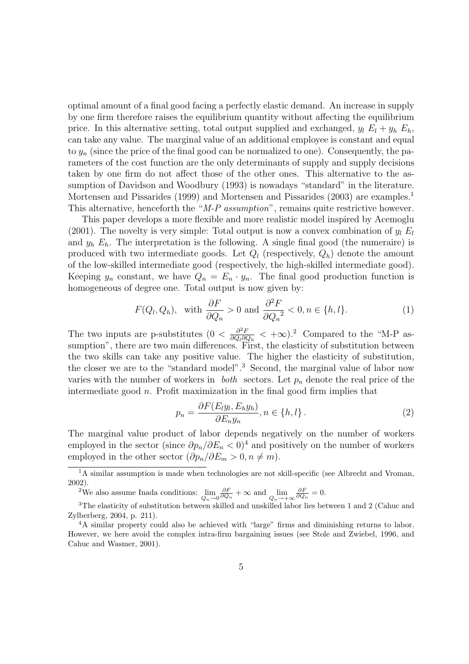optimal amount of a final good facing a perfectly elastic demand.An increase in supply by one firm therefore raises the equilibrium quantity without affecting the equilibrium price. In this alternative setting, total output supplied and exchanged,  $y_l E_l + y_h E_h$ , can take any value.The marginal value of an additional employee is constant and equal to  $y_n$  (since the price of the final good can be normalized to one). Consequently, the parameters of the cost function are the only determinants of supply and supply decisions taken by one firm do not affect those of the other ones.This alternative to the assumption of Davidson and Woodbury (1993) is nowadays "standard" in the literature. Mortensen and Pissarides (1999) and Mortensen and Pissarides (2003) are examples.<sup>1</sup> This alternative, henceforth the "M-P assumption", remains quite restrictive however.

This paper develops a more flexible and more realistic model inspired by Acemoglu (2001). The novelty is very simple: Total output is now a convex combination of  $y_l E_l$ and  $y_h E_h$ . The interpretation is the following. A single final good (the numeraire) is produced with two intermediate goods. Let  $Q_l$  (respectively,  $Q_h$ ) denote the amount of the low-skilled intermediate good (respectively, the high-skilled intermediate good). Keeping  $y_n$  constant, we have  $Q_n = E_n \cdot y_n$ . The final good production function is homogeneous of degree one. Total output is now given by:

$$
F(Q_l, Q_h)
$$
, with  $\frac{\partial F}{\partial Q_n} > 0$  and  $\frac{\partial^2 F}{\partial Q_n^2} < 0, n \in \{h, l\}.$  (1)

The two inputs are p-substitutes  $(0 < \frac{\partial^2 F}{\partial Q_l \partial Q_h} < +\infty)$ .<sup>2</sup> Compared to the "M-P assumption", there are two main differences. First, the elasticity of substitution between the two skills can take any positive value.The higher the elasticity of substitution, the closer we are to the "standard model".<sup>3</sup> Second, the marginal value of labor now varies with the number of workers in *both* sectors. Let  $p_n$  denote the real price of the intermediate good  $n$ . Profit maximization in the final good firm implies that

$$
p_n = \frac{\partial F(E_l y_l, E_h y_h)}{\partial E_n y_n}, n \in \{h, l\}.
$$
 (2)

The marginal value product of labor depends negatively on the number of workers employed in the sector (since  $\partial p_n/\partial E_n < 0$ )<sup>4</sup> and positively on the number of workers employed in the other sector  $(\partial p_n/\partial E_m > 0, n \neq m)$ .

<sup>2</sup>We also assume Inada conditions:  $\lim_{Q_n \to 0}$  $\frac{\partial F}{\partial Q_n}$  + ∞ and  $\lim_{Q_n \to +\infty}$  $\frac{\partial F}{\partial Q_n} = 0.$ 

<sup>&</sup>lt;sup>1</sup>A similar assumption is made when technologies are not skill-specific (see Albrecht and Vroman, 2002).

<sup>&</sup>lt;sup>3</sup>The elasticity of substitution between skilled and unskilled labor lies between 1 and 2 (Cahuc and Zylberberg, 2004, p. 211).

<sup>&</sup>lt;sup>4</sup>A similar property could also be achieved with "large" firms and diminishing returns to labor. However, we here avoid the complex intra-firm bargaining issues (see Stole and Zwiebel, 1996, and Cahuc and Wasmer, 2001).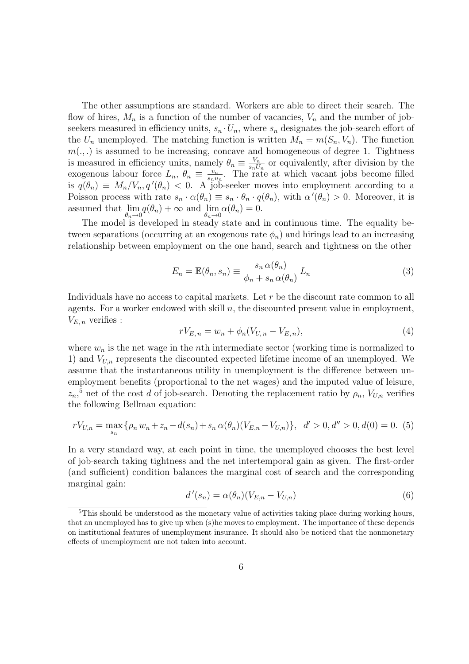The other assumptions are standard.Workers are able to direct their search.The flow of hires,  $M_n$  is a function of the number of vacancies,  $V_n$  and the number of jobseekers measured in efficiency units,  $s_n \cdot U_n$ , where  $s_n$  designates the job-search effort of the  $U_n$  unemployed. The matching function is written  $M_n = m(S_n, V_n)$ . The function  $m(.,.)$  is assumed to be increasing, concave and homogeneous of degree 1. Tightness is measured in efficiency units, namely  $\theta_n \equiv \frac{V_n}{s_n U_n}$  or equivalently, after division by the exogenous labour force  $L_n$ ,  $\theta_n \equiv \frac{v_n}{s_n u_n}$ . The rate at which vacant jobs become filled is  $q(\theta_n) \equiv M_n/V_n, q'(\theta_n) < 0$ . A job-seeker moves into employment according to a Poisson process with rate  $s_n \cdot \alpha(\theta_n) \equiv s_n \cdot \theta_n \cdot q(\theta_n)$ , with  $\alpha'(\theta_n) > 0$ . Moreover, it is assumed that lim  $\theta_n \rightarrow 0$  $q(\theta_n) + \infty$  and  $\lim_{n \to \infty}$  $\theta_n \rightarrow 0$  $\alpha(\theta_n)=0.$ 

The model is developed in steady state and in continuous time. The equality between separations (occurring at an exogenous rate  $\phi_n$ ) and hirings lead to an increasing relationship between employment on the one hand, search and tightness on the other

$$
E_n = \mathbb{E}(\theta_n, s_n) \equiv \frac{s_n \alpha(\theta_n)}{\phi_n + s_n \alpha(\theta_n)} L_n \tag{3}
$$

Individuals have no access to capital markets. Let  $r$  be the discount rate common to all agents. For a worker endowed with skill  $n$ , the discounted present value in employment,  $V_{E,n}$  verifies :

$$
rV_{E,n} = w_n + \phi_n(V_{U,n} - V_{E,n}),
$$
\n(4)

where  $w_n$  is the net wage in the *n*th intermediate sector (working time is normalized to 1) and  $V_{U,n}$  represents the discounted expected lifetime income of an unemployed. We assume that the instantaneous utility in unemployment is the difference between unemployment benefits (proportional to the net wages) and the imputed value of leisure,  $z_n$ <sup>5</sup> net of the cost d of job-search. Denoting the replacement ratio by  $\rho_n$ ,  $V_{U,n}$  verifies the following Bellman equation:

$$
rV_{U,n} = \max_{s_n} \{ \rho_n w_n + z_n - d(s_n) + s_n \alpha(\theta_n) (V_{E,n} - V_{U,n}) \}, \quad d' > 0, d'' > 0, d(0) = 0.
$$
 (5)

In a very standard way, at each point in time, the unemployed chooses the best level of job-search taking tightness and the net intertemporal gain as given.The first-order (and sufficient) condition balances the marginal cost of search and the corresponding marginal gain:

$$
d'(s_n) = \alpha(\theta_n)(V_{E,n} - V_{U,n})
$$
\n<sup>(6)</sup>

<sup>&</sup>lt;sup>5</sup>This should be understood as the monetary value of activities taking place during working hours, that an unemployed has to give up when (s)he moves to employment. The importance of these depends on institutional features of unemployment insurance. It should also be noticed that the nonmonetary effects of unemployment are not taken into account.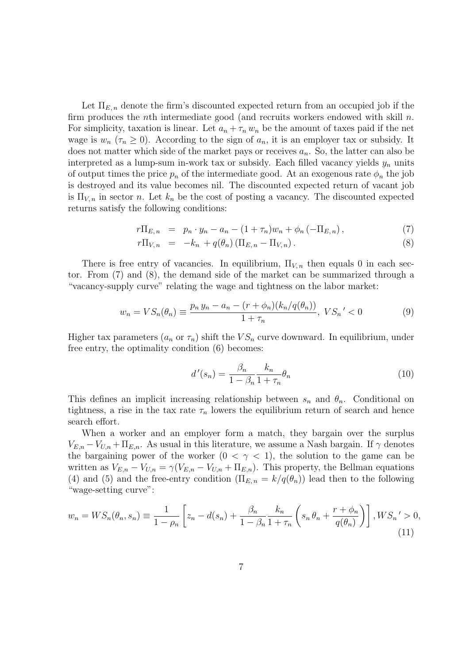Let  $\Pi_{E,n}$  denote the firm's discounted expected return from an occupied job if the firm produces the *n*th intermediate good (and recruits workers endowed with skill  $n$ . For simplicity, taxation is linear. Let  $a_n + \tau_n w_n$  be the amount of taxes paid if the net wage is  $w_n$  ( $\tau_n \geq 0$ ). According to the sign of  $a_n$ , it is an employer tax or subsidy. It does not matter which side of the market pays or receives  $a_n$ . So, the latter can also be interpreted as a lump-sum in-work tax or subsidy. Each filled vacancy yields  $y_n$  units of output times the price  $p_n$  of the intermediate good. At an exogenous rate  $\phi_n$  the job is destroyed and its value becomes nil.The discounted expected return of vacant job is  $\Pi_{V,n}$  in sector n. Let  $k_n$  be the cost of posting a vacancy. The discounted expected returns satisfy the following conditions:

$$
r\Pi_{E,n} = p_n \cdot y_n - a_n - (1 + \tau_n)w_n + \phi_n(-\Pi_{E,n}), \qquad (7)
$$

$$
r\Pi_{V,n} = -k_n + q(\theta_n) (\Pi_{E,n} - \Pi_{V,n}). \qquad (8)
$$

There is free entry of vacancies. In equilibrium,  $\Pi_{V,n}$  then equals 0 in each sector. From  $(7)$  and  $(8)$ , the demand side of the market can be summarized through a "vacancy-supply curve" relating the wage and tightness on the labor market:

$$
w_n = VS_n(\theta_n) \equiv \frac{p_n y_n - a_n - (r + \phi_n)(k_n/q(\theta_n))}{1 + \tau_n}, VS_n' < 0
$$
 (9)

Higher tax parameters  $(a_n \text{ or } \tau_n)$  shift the  $VS_n$  curve downward. In equilibrium, under free entry, the optimality condition (6) becomes:

$$
d'(s_n) = \frac{\beta_n}{1 - \beta_n} \frac{k_n}{1 + \tau_n} \theta_n \tag{10}
$$

This defines an implicit increasing relationship between  $s_n$  and  $\theta_n$ . Conditional on tightness, a rise in the tax rate  $\tau_n$  lowers the equilibrium return of search and hence search effort.

When a worker and an employer form a match, they bargain over the surplus  $V_{E,n} - V_{U,n} + \Pi_{E,n}$ . As usual in this literature, we assume a Nash bargain. If  $\gamma$  denotes the bargaining power of the worker  $(0 < \gamma < 1)$ , the solution to the game can be written as  $V_{E,n} - V_{U,n} = \gamma (V_{E,n} - V_{U,n} + \Pi_{E,n})$ . This property, the Bellman equations (4) and (5) and the free-entry condition  $(\Pi_{E,n} = k/q(\theta_n))$  lead then to the following "wage-setting curve":

$$
w_n = WS_n(\theta_n, s_n) \equiv \frac{1}{1 - \rho_n} \left[ z_n - d(s_n) + \frac{\beta_n}{1 - \beta_n} \frac{k_n}{1 + \tau_n} \left( s_n \theta_n + \frac{r + \phi_n}{q(\theta_n)} \right) \right], WS_n' > 0,
$$
\n(11)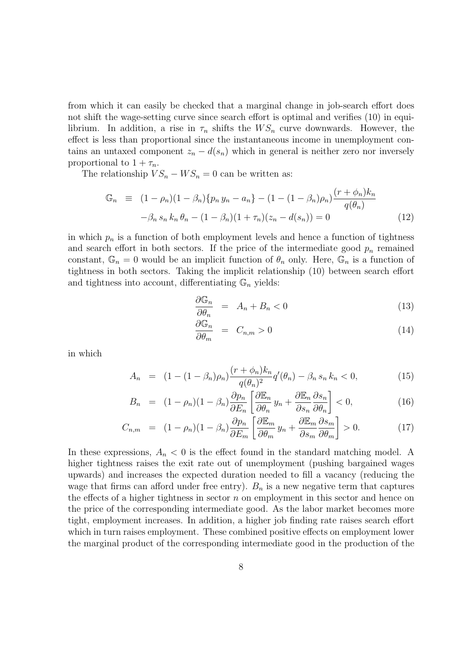from which it can easily be checked that a marginal change in job-search effort does not shift the wage-setting curve since search effort is optimal and verifies (10) in equilibrium. In addition, a rise in  $\tau_n$  shifts the  $WS_n$  curve downwards. However, the effect is less than proportional since the instantaneous income in unemployment contains an untaxed component  $z_n - d(s_n)$  which in general is neither zero nor inversely proportional to  $1 + \tau_n$ .

The relationship  $VS_n - WS_n = 0$  can be written as:

$$
\mathbb{G}_n \equiv (1 - \rho_n)(1 - \beta_n) \{ p_n y_n - a_n \} - (1 - (1 - \beta_n) \rho_n) \frac{(r + \phi_n) k_n}{q(\theta_n)}
$$

$$
- \beta_n s_n k_n \theta_n - (1 - \beta_n)(1 + \tau_n)(z_n - d(s_n)) = 0 \tag{12}
$$

in which  $p_n$  is a function of both employment levels and hence a function of tightness and search effort in both sectors. If the price of the intermediate good  $p_n$  remained constant,  $\mathbb{G}_n = 0$  would be an implicit function of  $\theta_n$  only. Here,  $\mathbb{G}_n$  is a function of tightness in both sectors.Taking the implicit relationship (10) between search effort and tightness into account, differentiating  $\mathbb{G}_n$  yields:

$$
\frac{\partial \mathbb{G}_n}{\partial \theta_n} = A_n + B_n < 0 \tag{13}
$$

$$
\frac{\partial \mathbb{G}_n}{\partial \theta_m} = C_{n,m} > 0 \tag{14}
$$

in which

$$
A_n = (1 - (1 - \beta_n)\rho_n) \frac{(r + \phi_n)k_n}{q(\theta_n)^2} q'(\theta_n) - \beta_n s_n k_n < 0,\tag{15}
$$

$$
B_n = (1 - \rho_n)(1 - \beta_n) \frac{\partial p_n}{\partial E_n} \left[ \frac{\partial \mathbb{E}_n}{\partial \theta_n} y_n + \frac{\partial \mathbb{E}_n}{\partial s_n} \frac{\partial s_n}{\partial \theta_n} \right] < 0,\tag{16}
$$

$$
C_{n,m} = (1 - \rho_n)(1 - \beta_n) \frac{\partial p_n}{\partial E_m} \left[ \frac{\partial \mathbb{E}_m}{\partial \theta_m} y_n + \frac{\partial \mathbb{E}_m}{\partial s_m} \frac{\partial s_m}{\partial \theta_m} \right] > 0. \tag{17}
$$

In these expressions,  $A_n < 0$  is the effect found in the standard matching model. A higher tightness raises the exit rate out of unemployment (pushing bargained wages upwards) and increases the expected duration needed to fill a vacancy (reducing the wage that firms can afford under free entry).  $B_n$  is a new negative term that captures the effects of a higher tightness in sector  $n$  on employment in this sector and hence on the price of the corresponding intermediate good.As the labor market becomes more tight, employment increases.In addition, a higher job finding rate raises search effort which in turn raises employment. These combined positive effects on employment lower the marginal product of the corresponding intermediate good in the production of the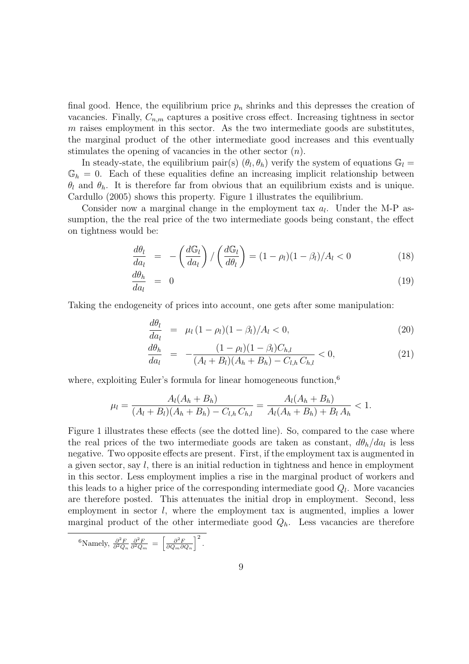final good. Hence, the equilibrium price  $p_n$  shrinks and this depresses the creation of vacancies. Finally,  $C_{n,m}$  captures a positive cross effect. Increasing tightness in sector  $m$  raises employment in this sector. As the two intermediate goods are substitutes, the marginal product of the other intermediate good increases and this eventually stimulates the opening of vacancies in the other sector  $(n)$ .

In steady-state, the equilibrium pair(s)  $(\theta_l, \theta_h)$  verify the system of equations  $\mathbb{G}_l$  =  $\mathbb{G}_h = 0$ . Each of these equalities define an increasing implicit relationship between  $\theta_l$  and  $\theta_h$ . It is therefore far from obvious that an equilibrium exists and is unique. Cardullo (2005) shows this property. Figure 1 illustrates the equilibrium.

Consider now a marginal change in the employment tax  $a_l$ . Under the M-P assumption, the the real price of the two intermediate goods being constant, the effect on tightness would be:

$$
\frac{d\theta_l}{da_l} = -\left(\frac{d\mathbb{G}_l}{da_l}\right) / \left(\frac{d\mathbb{G}_l}{d\theta_l}\right) = (1 - \rho_l)(1 - \beta_l) / A_l < 0 \tag{18}
$$

$$
\frac{d\theta_h}{da_l} = 0 \tag{19}
$$

Taking the endogeneity of prices into account, one gets after some manipulation:

$$
\frac{d\theta_l}{da_l} = \mu_l (1 - \rho_l)(1 - \beta_l)/A_l < 0, \qquad (20)
$$

$$
\frac{d\theta_h}{da_l} = -\frac{(1-\rho_l)(1-\beta_l)C_{h,l}}{(A_l+B_l)(A_h+B_h) - C_{l,h}C_{h,l}} < 0,
$$
\n(21)

where, exploiting Euler's formula for linear homogeneous function,<sup>6</sup>

$$
\mu_l = \frac{A_l(A_h + B_h)}{(A_l + B_l)(A_h + B_h) - C_{l,h}C_{h,l}} = \frac{A_l(A_h + B_h)}{A_l(A_h + B_h) + B_lA_h} < 1.
$$

Figure 1 illustrates these effects (see the dotted line). So, compared to the case where the real prices of the two intermediate goods are taken as constant,  $d\theta_h/da_l$  is less negative. Two opposite effects are present. First, if the employment tax is augmented in a given sector, say  $l$ , there is an initial reduction in tightness and hence in employment in this sector. Less employment implies a rise in the marginal product of workers and this leads to a higher price of the corresponding intermediate good  $Q_l$ . More vacancies are therefore posted. This attenuates the initial drop in employment. Second, less employment in sector l, where the employment tax is augmented, implies a lower marginal product of the other intermediate good  $Q_h$ . Less vacancies are therefore

 ${}^{6}\text{Namely, } \frac{\partial^2 F}{\partial^2 Q_n} \frac{\partial^2 F}{\partial^2 Q_m} = \left[\frac{\partial^2 F}{\partial Q_m \partial Q_n}\right]^2$ .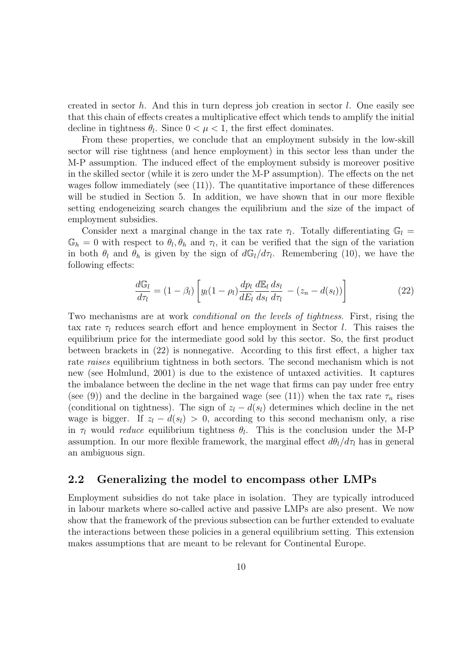created in sector h. And this in turn depress job creation in sector l. One easily see that this chain of effects creates a multiplicative effect which tends to amplify the initial decline in tightness  $\theta_l$ . Since  $0 < \mu < 1$ , the first effect dominates.

From these properties, we conclude that an employment subsidy in the low-skill sector will rise tightness (and hence employment) in this sector less than under the M-P assumption. The induced effect of the employment subsidy is moreover positive in the skilled sector (while it is zero under the M-P assumption). The effects on the net wages follow immediately (see  $(11)$ ). The quantitative importance of these differences will be studied in Section 5. In addition, we have shown that in our more flexible setting endogeneizing search changes the equilibrium and the size of the impact of employment subsidies.

Consider next a marginal change in the tax rate  $\tau_l$ . Totally differentiating  $\mathbb{G}_l$  =  $\mathbb{G}_h = 0$  with respect to  $\theta_l, \theta_h$  and  $\tau_l$ , it can be verified that the sign of the variation in both  $\theta_l$  and  $\theta_h$  is given by the sign of  $dG_l/d\tau_l$ . Remembering (10), we have the following effects:

$$
\frac{d\mathbb{G}_l}{d\tau_l} = (1 - \beta_l) \left[ y_l (1 - \rho_l) \frac{dp_l}{dE_l} \frac{d\mathbb{E}_l}{ds_l} \frac{ds_l}{d\tau_l} - (z_n - d(s_l)) \right]
$$
(22)

Two mechanisms are at work *conditional on the levels of tightness*. First, rising the tax rate  $\tau_l$  reduces search effort and hence employment in Sector l. This raises the equilibrium price for the intermediate good sold by this sector. So, the first product between brackets in  $(22)$  is nonnegative. According to this first effect, a higher tax rate raises equilibrium tightness in both sectors. The second mechanism which is not new (see Holmlund, 2001) is due to the existence of untaxed activities. It captures the imbalance between the decline in the net wage that firms can pay under free entry (see (9)) and the decline in the bargained wage (see (11)) when the tax rate  $\tau_n$  rises (conditional on tightness). The sign of  $z_l - d(s_l)$  determines which decline in the net wage is bigger. If  $z_l - d(s_l) > 0$ , according to this second mechanism only, a rise in  $\tau_l$  would *reduce* equilibrium tightness  $\theta_l$ . This is the conclusion under the M-P assumption. In our more flexible framework, the marginal effect  $d\theta_l/d\tau_l$  has in general an ambiguous sign.

#### **2.2 Generalizing the model to encompass other LMPs**

Employment subsidies do not take place in isolation.They are typically introduced in labour markets where so-called active and passive LMPs are also present.We now show that the framework of the previous subsection can be further extended to evaluate the interactions between these policies in a general equilibrium setting.This extension makes assumptions that are meant to be relevant for Continental Europe.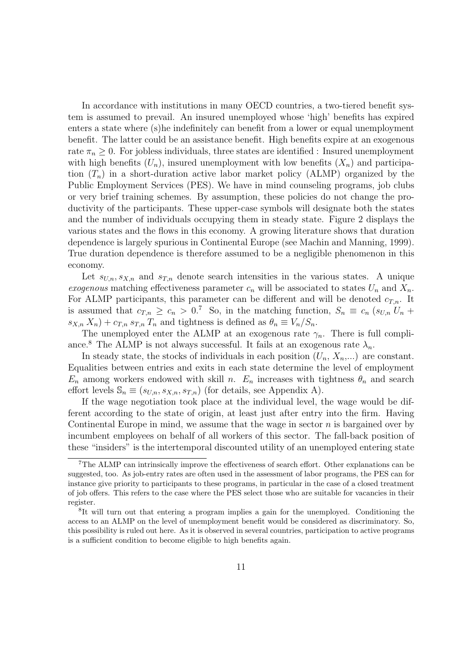In accordance with institutions in many OECD countries, a two-tiered benefit system is assumed to prevail.An insured unemployed whose 'high' benefits has expired enters a state where (s)he indefinitely can benefit from a lower or equal unemployment benefit. The latter could be an assistance benefit. High benefits expire at an exogenous rate  $\pi_n \geq 0$ . For jobless individuals, three states are identified : Insured unemployment with high benefits  $(U_n)$ , insured unemployment with low benefits  $(X_n)$  and participation  $(T_n)$  in a short-duration active labor market policy (ALMP) organized by the Public Employment Services (PES).We have in mind counseling programs, job clubs or very brief training schemes.By assumption, these policies do not change the productivity of the participants. These upper-case symbols will designate both the states and the number of individuals occupying them in steady state. Figure 2 displays the various states and the flows in this economy.A growing literature shows that duration dependence is largely spurious in Continental Europe (see Machin and Manning, 1999). True duration dependence is therefore assumed to be a negligible phenomenon in this economy.

Let  $s_{U,n}, s_{X,n}$  and  $s_{T,n}$  denote search intensities in the various states. A unique exogenous matching effectiveness parameter  $c_n$  will be associated to states  $U_n$  and  $X_n$ . For ALMP participants, this parameter can be different and will be denoted  $c_{T,n}$ . It is assumed that  $c_{T,n} \geq c_n > 0$ .<sup>7</sup> So, in the matching function,  $S_n \equiv c_n (s_{U,n} U_n +$  $s_{X,n} X_n$  +  $c_{T,n} s_{T,n} T_n$  and tightness is defined as  $\theta_n \equiv V_n / S_n$ .

The unemployed enter the ALMP at an exogenous rate  $\gamma_n$ . There is full compliance.<sup>8</sup> The ALMP is not always successful. It fails at an exogenous rate  $\lambda_n$ .

In steady state, the stocks of individuals in each position  $(U_n, X_n,...)$  are constant. Equalities between entries and exits in each state determine the level of employment  $E_n$  among workers endowed with skill n.  $E_n$  increases with tightness  $\theta_n$  and search effort levels  $\mathbb{S}_n \equiv (s_{U,n}, s_{X,n}, s_{T,n})$  (for details, see Appendix A).

If the wage negotiation took place at the individual level, the wage would be different according to the state of origin, at least just after entry into the firm. Having Continental Europe in mind, we assume that the wage in sector  $n$  is bargained over by incumbent employees on behalf of all workers of this sector.The fall-back position of these "insiders" is the intertemporal discounted utility of an unemployed entering state

<sup>7</sup>The ALMP can intrinsically improve the effectiveness of search effort. Other explanations can be suggested, too. As job-entry rates are often used in the assessment of labor programs, the PES can for instance give priority to participants to these programs, in particular in the case of a closed treatment of job offers. This refers to the case where the PES select those who are suitable for vacancies in their register.

<sup>8</sup>It will turn out that entering a program implies a gain for the unemployed. Conditioning the access to an ALMP on the level of unemployment benefit would be considered as discriminatory. So, this possibility is ruled out here. As it is observed in several countries, participation to active programs is a sufficient condition to become eligible to high benefits again.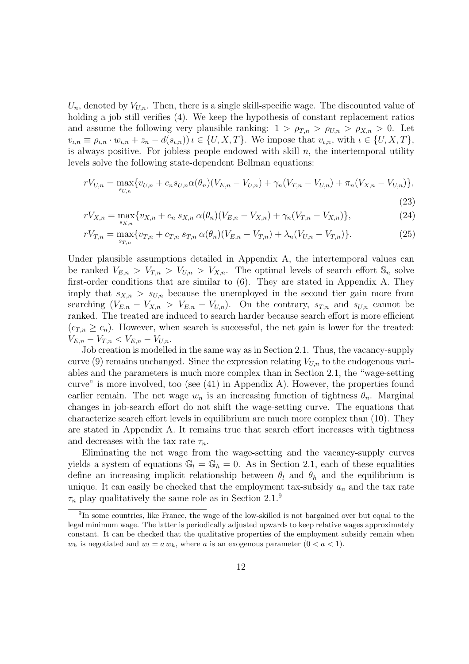$U_n$ , denoted by  $V_{U,n}$ . Then, there is a single skill-specific wage. The discounted value of holding a job still verifies (4). We keep the hypothesis of constant replacement ratios and assume the following very plausible ranking:  $1 > \rho_{T,n} > \rho_{U,n} > \rho_{X,n} > 0$ . Let  $v_{\iota,n} \equiv \rho_{\iota,n} \cdot w_{\iota,n} + z_n - d(s_{\iota,n})\nu \in \{U, X, T\}.$  We impose that  $v_{\iota,n}$ , with  $\iota \in \{U, X, T\},$ is always positive. For jobless people endowed with skill  $n$ , the intertemporal utility levels solve the following state-dependent Bellman equations:

$$
rV_{U,n} = \max_{s_{U,n}} \{v_{U,n} + c_n s_{U,n} \alpha(\theta_n) (V_{E,n} - V_{U,n}) + \gamma_n (V_{T,n} - V_{U,n}) + \pi_n (V_{X,n} - V_{U,n})\},\tag{23}
$$

$$
rV_{X,n} = \max_{s_{X,n}} \{ v_{X,n} + c_n \, s_{X,n} \, \alpha(\theta_n) (V_{E,n} - V_{X,n}) + \gamma_n (V_{T,n} - V_{X,n}) \},\tag{24}
$$

$$
rV_{T,n} = \max_{s_{T,n}} \{ v_{T,n} + c_{T,n} s_{T,n} \alpha(\theta_n) (V_{E,n} - V_{T,n}) + \lambda_n (V_{U,n} - V_{T,n}) \}.
$$
 (25)

Under plausible assumptions detailed in Appendix A, the intertemporal values can be ranked  $V_{E,n} > V_{T,n} > V_{U,n} > V_{X,n}$ . The optimal levels of search effort  $\mathbb{S}_n$  solve first-order conditions that are similar to  $(6)$ . They are stated in Appendix A. They imply that  $s_{X,n} > s_{U,n}$  because the unemployed in the second tier gain more from searching  $(V_{E,n} - V_{X,n} > V_{E,n} - V_{U,n})$ . On the contrary,  $s_{T,n}$  and  $s_{U,n}$  cannot be ranked. The treated are induced to search harder because search effort is more efficient  $(c_{T,n} \geq c_n)$ . However, when search is successful, the net gain is lower for the treated:  $V_{E,n} - V_{T,n} < V_{E,n} - V_{U,n}.$ 

Job creation is modelled in the same way as in Section 2.1. Thus, the vacancy-supply curve (9) remains unchanged. Since the expression relating  $V_{U,n}$  to the endogenous variables and the parameters is much more complex than in Section 2.1, the "wage-setting curve" is more involved, too (see  $(41)$  in Appendix A). However, the properties found earlier remain. The net wage  $w_n$  is an increasing function of tightness  $\theta_n$ . Marginal changes in job-search effort do not shift the wage-setting curve. The equations that characterize search effort levels in equilibrium are much more complex than  $(10)$ . They are stated in Appendix A.It remains true that search effort increases with tightness and decreases with the tax rate  $\tau_n$ .

Eliminating the net wage from the wage-setting and the vacancy-supply curves yields a system of equations  $\mathbb{G}_l = \mathbb{G}_h = 0$ . As in Section 2.1, each of these equalities define an increasing implicit relationship between  $\theta_l$  and  $\theta_h$  and the equilibrium is unique. It can easily be checked that the employment tax-subsidy  $a_n$  and the tax rate  $\tau_n$  play qualitatively the same role as in Section 2.1.<sup>9</sup>

<sup>9</sup>In some countries, like France, the wage of the low-skilled is not bargained over but equal to the legal minimum wage. The latter is periodically adjusted upwards to keep relative wages approximately constant. It can be checked that the qualitative properties of the employment subsidy remain when  $w_h$  is negotiated and  $w_l = a w_h$ , where *a* is an exogenous parameter  $(0 < a < 1)$ .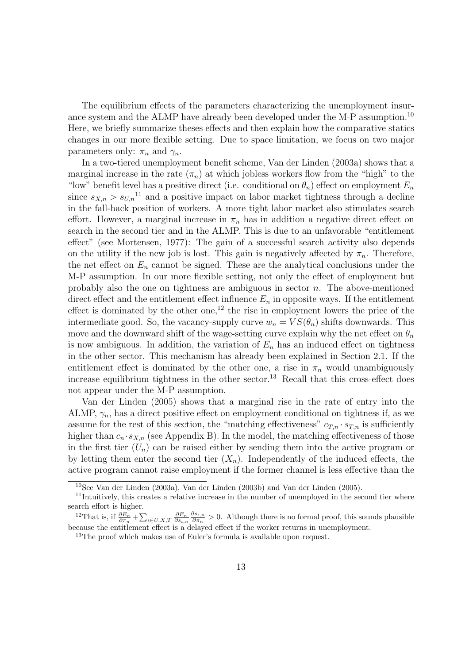The equilibrium effects of the parameters characterizing the unemployment insurance system and the ALMP have already been developed under the M-P assumption.<sup>10</sup> Here, we briefly summarize theses effects and then explain how the comparative statics changes in our more flexible setting. Due to space limitation, we focus on two major parameters only:  $\pi_n$  and  $\gamma_n$ .

In a two-tiered unemployment benefit scheme, Van der Linden (2003a) shows that a marginal increase in the rate  $(\pi_n)$  at which jobless workers flow from the "high" to the "low" benefit level has a positive direct (i.e. conditional on  $\theta_n$ ) effect on employment  $E_n$ since  $s_{X,n} > s_{U,n}$ <sup>11</sup> and a positive impact on labor market tightness through a decline in the fall-back position of workers.A more tight labor market also stimulates search effort. However, a marginal increase in  $\pi_n$  has in addition a negative direct effect on search in the second tier and in the ALMP.This is due to an unfavorable "entitlement effect" (see Mortensen, 1977): The gain of a successful search activity also depends on the utility if the new job is lost. This gain is negatively affected by  $\pi_n$ . Therefore, the net effect on  $E_n$  cannot be signed. These are the analytical conclusions under the M-P assumption.In our more flexible setting, not only the effect of employment but probably also the one on tightness are ambiguous in sector  $n$ . The above-mentioned direct effect and the entitlement effect influence  $E_n$  in opposite ways. If the entitlement effect is dominated by the other one,<sup>12</sup> the rise in employment lowers the price of the intermediate good. So, the vacancy-supply curve  $w_n = VS(\theta_n)$  shifts downwards. This move and the downward shift of the wage-setting curve explain why the net effect on  $\theta_n$ is now ambiguous. In addition, the variation of  $E_n$  has an induced effect on tightness in the other sector. This mechanism has already been explained in Section 2.1. If the entitlement effect is dominated by the other one, a rise in  $\pi_n$  would unambiguously increase equilibrium tightness in the other sector.<sup>13</sup> Recall that this cross-effect does not appear under the M-P assumption.

Van der Linden (2005) shows that a marginal rise in the rate of entry into the ALMP,  $\gamma_n$ , has a direct positive effect on employment conditional on tightness if, as we assume for the rest of this section, the "matching effectiveness"  $c_{T,n} \cdot s_{T,n}$  is sufficiently higher than  $c_n \cdot s_{X,n}$  (see Appendix B). In the model, the matching effectiveness of those in the first tier  $(U_n)$  can be raised either by sending them into the active program or by letting them enter the second tier  $(X_n)$ . Independently of the induced effects, the active program cannot raise employment if the former channel is less effective than the

<sup>10</sup>See Van der Linden (2003a), Van der Linden (2003b) and Van der Linden (2005).

<sup>&</sup>lt;sup>11</sup>Intuitively, this creates a relative increase in the number of unemployed in the second tier where search effort is higher.

<sup>&</sup>lt;sup>12</sup>That is, if  $\frac{\partial E_n}{\partial \pi_n} + \sum_{\iota \in U, X, T} \frac{\partial E_n}{\partial s_{\iota, n}}$  $\frac{\partial s_{i,n}}{\partial \pi_n} > 0$ . Although there is no formal proof, this sounds plausible because the entitlement effect is a delayed effect if the worker returns in unemployment.

<sup>&</sup>lt;sup>13</sup>The proof which makes use of Euler's formula is available upon request.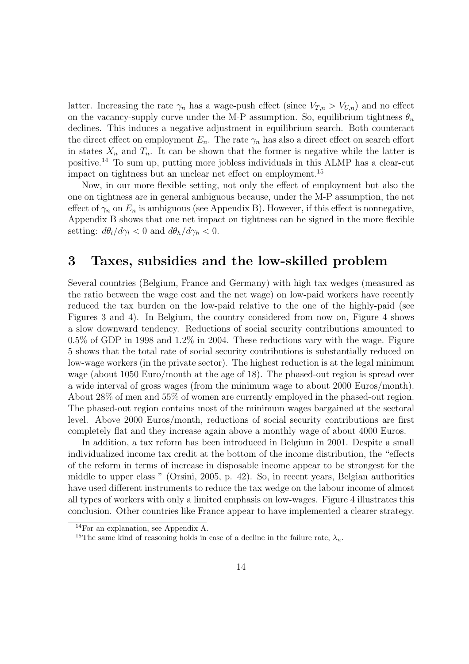latter. Increasing the rate  $\gamma_n$  has a wage-push effect (since  $V_{T,n} > V_{U,n}$ ) and no effect on the vacancy-supply curve under the M-P assumption. So, equilibrium tightness  $\theta_n$ declines. This induces a negative adjustment in equilibrium search. Both counteract the direct effect on employment  $E_n$ . The rate  $\gamma_n$  has also a direct effect on search effort in states  $X_n$  and  $T_n$ . It can be shown that the former is negative while the latter is positive.<sup>14</sup> To sum up, putting more jobless individuals in this ALMP has a clear-cut impact on tightness but an unclear net effect on employment.<sup>15</sup>

Now, in our more flexible setting, not only the effect of employment but also the one on tightness are in general ambiguous because, under the M-P assumption, the net effect of  $\gamma_n$  on  $E_n$  is ambiguous (see Appendix B). However, if this effect is nonnegative, Appendix B shows that one net impact on tightness can be signed in the more flexible setting:  $d\theta_l/d\gamma_l < 0$  and  $d\theta_h/d\gamma_h < 0$ .

### **3Taxes, subsidies and the low-skilled problem**

Several countries (Belgium, France and Germany) with high tax wedges (measured as the ratio between the wage cost and the net wage) on low-paid workers have recently reduced the tax burden on the low-paid relative to the one of the highly-paid (see Figures 3 and 4). In Belgium, the country considered from now on, Figure 4 shows a slow downward tendency. Reductions of social security contributions amounted to 0.5% of GDP in 1998 and 1.2% in 2004. These reductions vary with the wage. Figure 5 shows that the total rate of social security contributions is substantially reduced on low-wage workers (in the private sector). The highest reduction is at the legal minimum wage (about 1050 Euro/month at the age of 18). The phased-out region is spread over a wide interval of gross wages (from the minimum wage to about 2000 Euros/month). About 28% of men and 55% of women are currently employed in the phased-out region. The phased-out region contains most of the minimum wages bargained at the sectoral level. Above 2000 Euros/month, reductions of social security contributions are first completely flat and they increase again above a monthly wage of about 4000 Euros.

In addition, a tax reform has been introduced in Belgium in 2001. Despite a small individualized income tax credit at the bottom of the income distribution, the "effects of the reform in terms of increase in disposable income appear to be strongest for the middle to upper class " (Orsini, 2005, p. 42). So, in recent years, Belgian authorities have used different instruments to reduce the tax wedge on the labour income of almost all types of workers with only a limited emphasis on low-wages.Figure 4 illustrates this conclusion. Other countries like France appear to have implemented a clearer strategy.

<sup>14</sup>For an explanation, see Appendix A.

<sup>&</sup>lt;sup>15</sup>The same kind of reasoning holds in case of a decline in the failure rate,  $\lambda_n$ .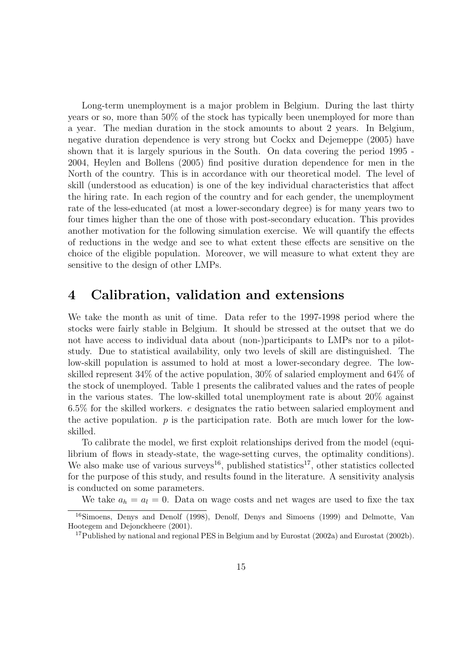Long-term unemployment is a major problem in Belgium. During the last thirty years or so, more than 50% of the stock has typically been unemployed for more than a year. The median duration in the stock amounts to about 2 years. In Belgium, negative duration dependence is very strong but Cockx and Dejemeppe (2005) have shown that it is largely spurious in the South. On data covering the period 1995 -2004, Heylen and Bollens (2005) find positive duration dependence for men in the North of the country. This is in accordance with our theoretical model. The level of skill (understood as education) is one of the key individual characteristics that affect the hiring rate.In each region of the country and for each gender, the unemployment rate of the less-educated (at most a lower-secondary degree) is for many years two to four times higher than the one of those with post-secondary education. This provides another motivation for the following simulation exercise.We will quantify the effects of reductions in the wedge and see to what extent these effects are sensitive on the choice of the eligible population. Moreover, we will measure to what extent they are sensitive to the design of other LMPs.

### **4 Calibration, validation and extensions**

We take the month as unit of time. Data refer to the 1997-1998 period where the stocks were fairly stable in Belgium.It should be stressed at the outset that we do not have access to individual data about (non-)participants to LMPs nor to a pilotstudy. Due to statistical availability, only two levels of skill are distinguished. The low-skill population is assumed to hold at most a lower-secondary degree.The lowskilled represent 34% of the active population, 30% of salaried employment and 64% of the stock of unemployed.Table 1 presents the calibrated values and the rates of people in the various states. The low-skilled total unemployment rate is about  $20\%$  against 6.5% for the skilled workers. e designates the ratio between salaried employment and the active population.  $p$  is the participation rate. Both are much lower for the lowskilled.

To calibrate the model, we first exploit relationships derived from the model (equilibrium of flows in steady-state, the wage-setting curves, the optimality conditions). We also make use of various surveys<sup>16</sup>, published statistics<sup>17</sup>, other statistics collected for the purpose of this study, and results found in the literature. A sensitivity analysis is conducted on some parameters.

We take  $a_h = a_l = 0$ . Data on wage costs and net wages are used to fixe the tax

<sup>16</sup>Simoens, Denys and Denolf (1998), Denolf, Denys and Simoens (1999) and Delmotte, Van Hootegem and Dejonckheere (2001).

<sup>&</sup>lt;sup>17</sup>Published by national and regional PES in Belgium and by Eurostat (2002a) and Eurostat (2002b).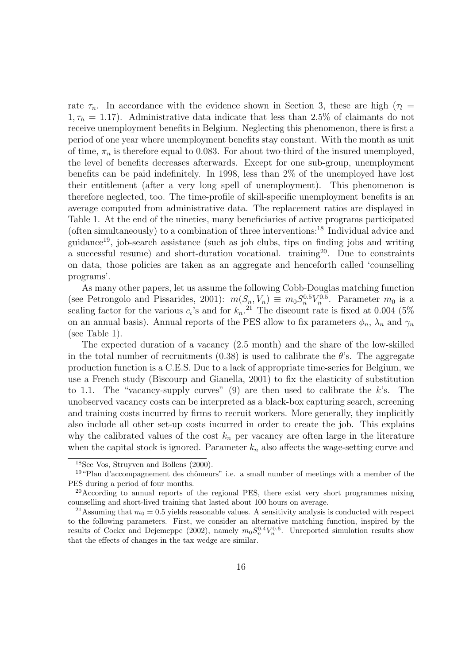rate  $\tau_n$ . In accordance with the evidence shown in Section 3, these are high ( $\tau_l$  =  $1, \tau_h = 1.17$ ). Administrative data indicate that less than 2.5% of claimants do not receive unemployment benefits in Belgium. Neglecting this phenomenon, there is first a period of one year where unemployment benefits stay constant.With the month as unit of time,  $\pi_n$  is therefore equal to 0.083. For about two-third of the insured unemployed, the level of benefits decreases afterwards.Except for one sub-group, unemployment benefits can be paid indefinitely. In 1998, less than  $2\%$  of the unemployed have lost their entitlement (after a very long spell of unemployment). This phenomenon is therefore neglected, too.The time-profile of skill-specific unemployment benefits is an average computed from administrative data.The replacement ratios are displayed in Table 1.At the end of the nineties, many beneficiaries of active programs participated (often simultaneously) to a combination of three interventions:<sup>18</sup> Individual advice and guidance<sup>19</sup>, job-search assistance (such as job clubs, tips on finding jobs and writing a successful resume) and short-duration vocational. training<sup>20</sup>. Due to constraints on data, those policies are taken as an aggregate and henceforth called 'counselling programs'.

As many other papers, let us assume the following Cobb-Douglas matching function (see Petrongolo and Pissarides, 2001):  $m(S_n, V_n) \equiv m_0 S_n^{0.5} V_n^{0.5}$ . Parameter  $m_0$  is a scaling factor for the various  $c_i$ 's and for  $k_n$ .<sup>21</sup> The discount rate is fixed at 0.004 (5%) on an annual basis). Annual reports of the PES allow to fix parameters  $\phi_n$ ,  $\lambda_n$  and  $\gamma_n$ (see Table 1).

The expected duration of a vacancy (2.5 month) and the share of the low-skilled in the total number of recruitments  $(0.38)$  is used to calibrate the  $\theta$ 's. The aggregate production function is a C.E.S. Due to a lack of appropriate time-series for Belgium, we use a French study (Biscourp and Gianella, 2001) to fix the elasticity of substitution to 1.1. The "vacancy-supply curves"  $(9)$  are then used to calibrate the k's. The unobserved vacancy costs can be interpreted as a black-box capturing search, screening and training costs incurred by firms to recruit workers. More generally, they implicitly also include all other set-up costs incurred in order to create the job.This explains why the calibrated values of the cost  $k_n$  per vacancy are often large in the literature when the capital stock is ignored. Parameter  $k_n$  also affects the wage-setting curve and

<sup>18</sup>See Vos, Struyven and Bollens (2000).

<sup>&</sup>lt;sup>19</sup>"Plan d'accompagnement des chômeurs" i.e. a small number of meetings with a member of the PES during a period of four months.

<sup>&</sup>lt;sup>20</sup>According to annual reports of the regional PES, there exist very short programmes mixing counselling and short-lived training that lasted about 100 hours on average.

<sup>&</sup>lt;sup>21</sup>Assuming that  $m_0 = 0.5$  yields reasonable values. A sensitivity analysis is conducted with respect to the following parameters. First, we consider an alternative matching function, inspired by the results of Cockx and Dejemeppe (2002), namely  $m_0 S_n^{0.4} V_n^{0.6}$ . Unreported simulation results show that the effects of changes in the tax wedge are similar.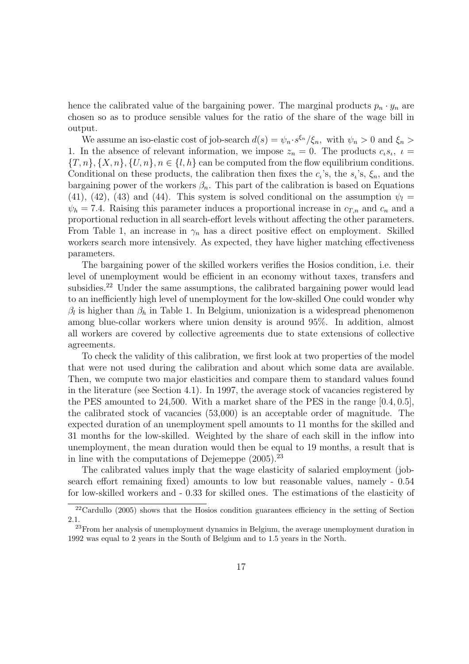hence the calibrated value of the bargaining power. The marginal products  $p_n \cdot y_n$  are chosen so as to produce sensible values for the ratio of the share of the wage bill in output.

We assume an iso-elastic cost of job-search  $d(s) = \psi_n \cdot s^{\xi_n}/\xi_n$ , with  $\psi_n > 0$  and  $\xi_n >$ 1. In the absence of relevant information, we impose  $z_n = 0$ . The products  $c_i s_i$ ,  $i =$  $\{T,n\}, \{X,n\}, \{U,n\}, n \in \{l,h\}$  can be computed from the flow equilibrium conditions. Conditional on these products, the calibration then fixes the  $c_i$ 's, the  $s_i$ 's,  $\xi_n$ , and the bargaining power of the workers  $\beta_n$ . This part of the calibration is based on Equations (41), (42), (43) and (44). This system is solved conditional on the assumption  $\psi_l =$  $\psi_h = 7.4$ . Raising this parameter induces a proportional increase in  $c_{T,n}$  and  $c_n$  and a proportional reduction in all search-effort levels without affecting the other parameters. From Table 1, an increase in  $\gamma_n$  has a direct positive effect on employment. Skilled workers search more intensively. As expected, they have higher matching effectiveness parameters.

The bargaining power of the skilled workers verifies the Hosios condition, i.e. their level of unemployment would be efficient in an economy without taxes, transfers and subsidies.<sup>22</sup> Under the same assumptions, the calibrated bargaining power would lead to an inefficiently high level of unemployment for the low-skilled One could wonder why  $\beta_l$  is higher than  $\beta_h$  in Table 1. In Belgium, unionization is a widespread phenomenon among blue-collar workers where union density is around 95%.In addition, almost all workers are covered by collective agreements due to state extensions of collective agreements.

To check the validity of this calibration, we first look at two properties of the model that were not used during the calibration and about which some data are available. Then, we compute two major elasticities and compare them to standard values found in the literature (see Section 4.1). In 1997, the average stock of vacancies registered by the PES amounted to 24,500. With a market share of the PES in the range  $[0.4, 0.5]$ , the calibrated stock of vacancies  $(53,000)$  is an acceptable order of magnitude. The expected duration of an unemployment spell amounts to 11 months for the skilled and 31 months for the low-skilled.Weighted by the share of each skill in the inflow into unemployment, the mean duration would then be equal to 19 months, a result that is in line with the computations of Dejemeppe  $(2005)$ .<sup>23</sup>

The calibrated values imply that the wage elasticity of salaried employment (jobsearch effort remaining fixed) amounts to low but reasonable values, namely - 0.54 for low-skilled workers and - 0.33 for skilled ones. The estimations of the elasticity of

 $22$ Cardullo (2005) shows that the Hosios condition guarantees efficiency in the setting of Section 2.1.

 $^{23}$ From her analysis of unemployment dynamics in Belgium, the average unemployment duration in 1992 was equal to 2 years in the South of Belgium and to 1.5 years in the North.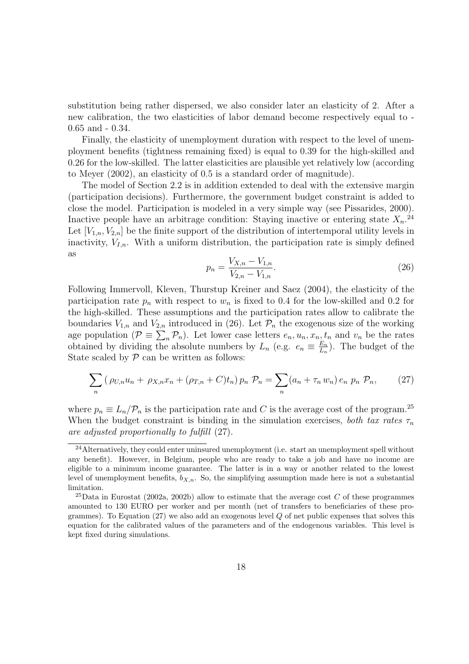substitution being rather dispersed, we also consider later an elasticity of 2. After a new calibration, the two elasticities of labor demand become respectively equal to - 0.65 and - 0.34.

Finally, the elasticity of unemployment duration with respect to the level of unemployment benefits (tightness remaining fixed) is equal to 0.39 for the high-skilled and 0.26 for the low-skilled. The latter elasticities are plausible yet relatively low (according to Meyer (2002), an elasticity of 0.5 is a standard order of magnitude).

The model of Section 2.2 is in addition extended to deal with the extensive margin (participation decisions).Furthermore, the government budget constraint is added to close the model.Participation is modeled in a very simple way (see Pissarides, 2000). Inactive people have an arbitrage condition: Staying inactive or entering state  $X_n$ <sup>24</sup> Let  $[V_{1,n}, V_{2,n}]$  be the finite support of the distribution of intertemporal utility levels in inactivity,  $V_{I,n}$ . With a uniform distribution, the participation rate is simply defined as

$$
p_n = \frac{V_{X,n} - V_{1,n}}{V_{2,n} - V_{1,n}}.\tag{26}
$$

Following Immervoll, Kleven, Thurstup Kreiner and Saez (2004), the elasticity of the participation rate  $p_n$  with respect to  $w_n$  is fixed to 0.4 for the low-skilled and 0.2 for the high-skilled.These assumptions and the participation rates allow to calibrate the boundaries  $V_{1,n}$  and  $V_{2,n}$  introduced in (26). Let  $\mathcal{P}_n$  the exogenous size of the working age population  $(\mathcal{P} \equiv \sum_n \mathcal{P}_n)$ . Let lower case letters  $e_n, u_n, x_n, t_n$  and  $v_n$  be the rates obtained by dividing the absolute numbers by  $L_n$  (e.g.  $e_n \equiv \frac{E_n}{L_n}$ ). The budget of the State scaled by  $P$  can be written as follows:

$$
\sum_{n} \left( \rho_{U,n} u_n + \rho_{X,n} x_n + (\rho_{T,n} + C) t_n \right) p_n \mathcal{P}_n = \sum_{n} (a_n + \tau_n w_n) e_n \ p_n \mathcal{P}_n, \tag{27}
$$

where  $p_n \equiv L_n/\mathcal{P}_n$  is the participation rate and C is the average cost of the program.<sup>25</sup> When the budget constraint is binding in the simulation exercises, both tax rates  $\tau_n$ are adjusted proportionally to fulfill (27).

<sup>&</sup>lt;sup>24</sup>Alternatively, they could enter uninsured unemployment (i.e. start an unemployment spell without any benefit). However, in Belgium, people who are ready to take a job and have no income are eligible to a minimum income guarantee. The latter is in a way or another related to the lowest level of unemployment benefits,  $b_{X,n}$ . So, the simplifying assumption made here is not a substantial limitation.

<sup>25</sup>Data in Eurostat (2002a, 2002b) allow to estimate that the average cost *C* of these programmes amounted to 130 EURO per worker and per month (net of transfers to beneficiaries of these programmes). To Equation (27) we also add an exogenous level *Q* of net public expenses that solves this equation for the calibrated values of the parameters and of the endogenous variables. This level is kept fixed during simulations.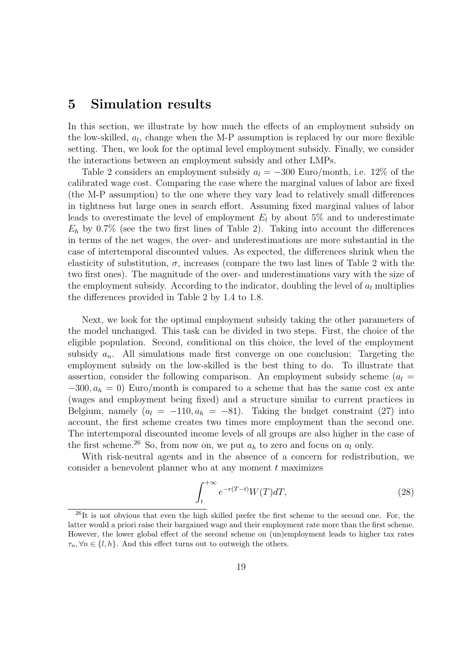### **5 Simulation results**

In this section, we illustrate by how much the effects of an employment subsidy on the low-skilled,  $a_l$ , change when the M-P assumption is replaced by our more flexible setting. Then, we look for the optimal level employment subsidy. Finally, we consider the interactions between an employment subsidy and other LMPs.

Table 2 considers an employment subsidy  $a_l = -300$  Euro/month, i.e. 12% of the calibrated wage cost.Comparing the case where the marginal values of labor are fixed (the M-P assumption) to the one where they vary lead to relatively small differences in tightness but large ones in search effort.Assuming fixed marginal values of labor leads to overestimate the level of employment  $E_l$  by about 5% and to underestimate  $E_h$  by 0.7% (see the two first lines of Table 2). Taking into account the differences in terms of the net wages, the over- and underestimations are more substantial in the case of intertemporal discounted values.As expected, the differences shrink when the elasticity of substitution,  $\sigma$ , increases (compare the two last lines of Table 2 with the two first ones). The magnitude of the over- and underestimations vary with the size of the employment subsidy. According to the indicator, doubling the level of  $a_l$  multiplies the differences provided in Table 2 by 1.4 to 1.8.

Next, we look for the optimal employment subsidy taking the other parameters of the model unchanged. This task can be divided in two steps. First, the choice of the eligible population. Second, conditional on this choice, the level of the employment subsidy  $a_n$ . All simulations made first converge on one conclusion: Targeting the employment subsidy on the low-skilled is the best thing to do. To illustrate that assertion, consider the following comparison. An employment subsidy scheme ( $a_l =$  $-300, a_h = 0$ ) Euro/month is compared to a scheme that has the same cost ex ante (wages and employment being fixed) and a structure similar to current practices in Belgium, namely  $(a_l = -110, a_h = -81)$ . Taking the budget constraint (27) into account, the first scheme creates two times more employment than the second one. The intertemporal discounted income levels of all groups are also higher in the case of the first scheme.<sup>26</sup> So, from now on, we put  $a_h$  to zero and focus on  $a_l$  only.

With risk-neutral agents and in the absence of a concern for redistribution, we consider a benevolent planner who at any moment t maximizes

$$
\int_{t}^{+\infty} e^{-r(T-t)} W(T) dT,
$$
\n(28)

<sup>&</sup>lt;sup>26</sup>It is not obvious that even the high skilled prefer the first scheme to the second one. For, the latter would a priori raise their bargained wage and their employment rate more than the first scheme. However, the lower global effect of the second scheme on (un)employment leads to higher tax rates  $\tau_n, \forall n \in \{l, h\}$ . And this effect turns out to outweigh the others.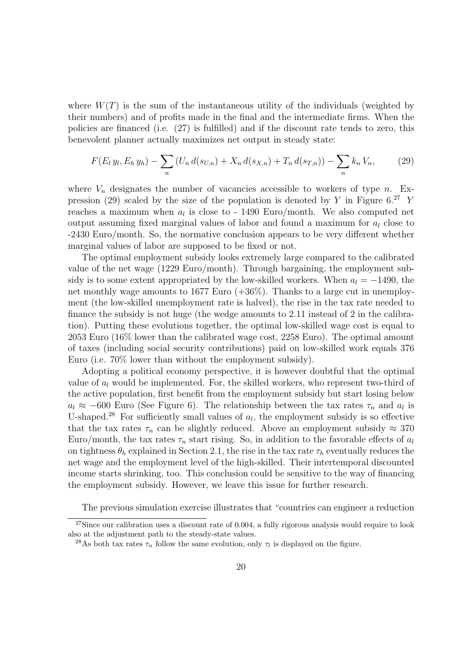where  $W(T)$  is the sum of the instantaneous utility of the individuals (weighted by their numbers) and of profits made in the final and the intermediate firms.When the policies are financed (i.e. (27) is fulfilled) and if the discount rate tends to zero, this benevolent planner actually maximizes net output in steady state:

$$
F(E_l y_l, E_h y_h) - \sum_n \left( U_n d(s_{U,n}) + X_n d(s_{X,n}) + T_n d(s_{T,n}) \right) - \sum_n k_n V_n, \tag{29}
$$

where  $V_n$  designates the number of vacancies accessible to workers of type n. Expression (29) scaled by the size of the population is denoted by Y in Figure  $6.^{27}$  Y reaches a maximum when  $a_l$  is close to - 1490 Euro/month. We also computed net output assuming fixed marginal values of labor and found a maximum for  $a<sub>l</sub>$  close to -2430 Euro/month.So, the normative conclusion appears to be very different whether marginal values of labor are supposed to be fixed or not.

The optimal employment subsidy looks extremely large compared to the calibrated value of the net wage (1229 Euro/month). Through bargaining, the employment subsidy is to some extent appropriated by the low-skilled workers. When  $a_l = -1490$ , the net monthly wage amounts to 1677 Euro  $(+36\%)$ . Thanks to a large cut in unemployment (the low-skilled unemployment rate is halved), the rise in the tax rate needed to finance the subsidy is not huge (the wedge amounts to 2.11 instead of 2 in the calibration). Putting these evolutions together, the optimal low-skilled wage cost is equal to 2053 Euro  $(16\%$  lower than the calibrated wage cost, 2258 Euro). The optimal amount of taxes (including social security contributions) paid on low-skilled work equals 376 Euro (i.e. 70% lower than without the employment subsidy).

Adopting a political economy perspective, it is however doubtful that the optimal value of  $a_l$  would be implemented. For, the skilled workers, who represent two-third of the active population, first benefit from the employment subsidy but start losing below  $a_l \approx -600$  Euro (See Figure 6). The relationship between the tax rates  $\tau_n$  and  $a_l$  is U-shaped.<sup>28</sup> For sufficiently small values of  $a<sub>l</sub>$ , the employment subsidy is so effective that the tax rates  $\tau_n$  can be slightly reduced. Above an employment subsidy  $\approx 370$ Euro/month, the tax rates  $\tau_n$  start rising. So, in addition to the favorable effects of  $a_l$ on tightness  $\theta_h$  explained in Section 2.1, the rise in the tax rate  $\tau_h$  eventually reduces the net wage and the employment level of the high-skilled.Their intertemporal discounted income starts shrinking, too. This conclusion could be sensitive to the way of financing the employment subsidy.However, we leave this issue for further research.

The previous simulation exercise illustrates that "countries can engineer a reduction

 $27$ Since our calibration uses a discount rate of 0.004, a fully rigorous analysis would require to look also at the adjustment path to the steady-state values.

<sup>&</sup>lt;sup>28</sup>As both tax rates  $\tau_n$  follow the same evolution, only  $\tau_l$  is displayed on the figure.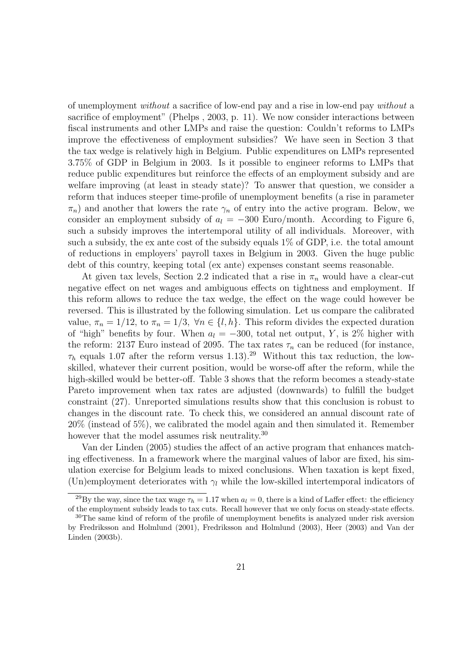of unemployment without a sacrifice of low-end pay and a rise in low-end pay without a sacrifice of employment" (Phelps , 2003, p.11).We now consider interactions between fiscal instruments and other LMPs and raise the question: Couldn't reforms to LMPs improve the effectiveness of employment subsidies? We have seen in Section 3 that the tax wedge is relatively high in Belgium. Public expenditures on LMPs represented 3.75% of GDP in Belgium in 2003. Is it possible to engineer reforms to LMPs that reduce public expenditures but reinforce the effects of an employment subsidy and are welfare improving (at least in steady state)? To answer that question, we consider a reform that induces steeper time-profile of unemployment benefits (a rise in parameter  $\pi_n$ ) and another that lowers the rate  $\gamma_n$  of entry into the active program. Below, we consider an employment subsidy of  $a_l = -300$  Euro/month. According to Figure 6, such a subsidy improves the intertemporal utility of all individuals. Moreover, with such a subsidy, the ex ante cost of the subsidy equals 1% of GDP, i.e. the total amount of reductions in employers' payroll taxes in Belgium in 2003.Given the huge public debt of this country, keeping total (ex ante) expenses constant seems reasonable.

At given tax levels, Section 2.2 indicated that a rise in  $\pi_n$  would have a clear-cut negative effect on net wages and ambiguous effects on tightness and employment. If this reform allows to reduce the tax wedge, the effect on the wage could however be reversed.This is illustrated by the following simulation.Let us compare the calibrated value,  $\pi_n = 1/12$ , to  $\pi_n = 1/3$ ,  $\forall n \in \{l, h\}$ . This reform divides the expected duration of "high" benefits by four. When  $a_l = -300$ , total net output, Y, is 2% higher with the reform: 2137 Euro instead of 2095. The tax rates  $\tau_n$  can be reduced (for instance,  $\tau_h$  equals 1.07 after the reform versus 1.13).<sup>29</sup> Without this tax reduction, the lowskilled, whatever their current position, would be worse-off after the reform, while the high-skilled would be better-off. Table 3 shows that the reform becomes a steady-state Pareto improvement when tax rates are adjusted (downwards) to fulfill the budget constraint (27). Unreported simulations results show that this conclusion is robust to changes in the discount rate.To check this, we considered an annual discount rate of  $20\%$  (instead of 5%), we calibrated the model again and then simulated it. Remember however that the model assumes risk neutrality.<sup>30</sup>

Van der Linden (2005) studies the affect of an active program that enhances matching effectiveness. In a framework where the marginal values of labor are fixed, his simulation exercise for Belgium leads to mixed conclusions.When taxation is kept fixed, (Un)employment deteriorates with  $\gamma_l$  while the low-skilled intertemporal indicators of

<sup>&</sup>lt;sup>29</sup>By the way, since the tax wage  $\tau_h = 1.17$  when  $a_l = 0$ , there is a kind of Laffer effect: the efficiency of the employment subsidy leads to tax cuts. Recall however that we only focus on steady-state effects.

<sup>&</sup>lt;sup>30</sup>The same kind of reform of the profile of unemployment benefits is analyzed under risk aversion by Fredriksson and Holmlund (2001), Fredriksson and Holmlund (2003), Heer (2003) and Van der Linden (2003b).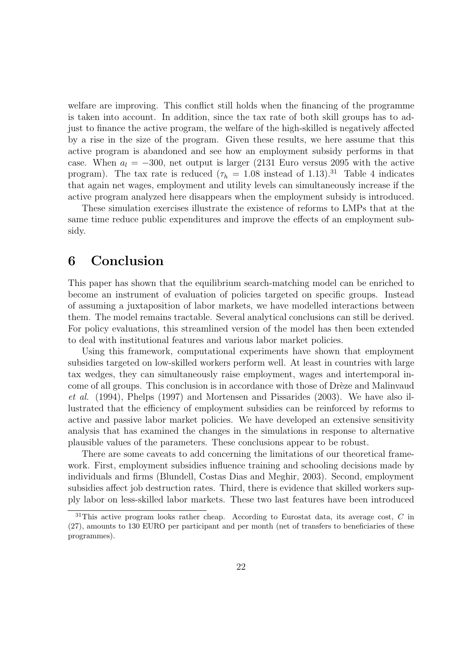welfare are improving. This conflict still holds when the financing of the programme is taken into account. In addition, since the tax rate of both skill groups has to adjust to finance the active program, the welfare of the high-skilled is negatively affected by a rise in the size of the program.Given these results, we here assume that this active program is abandoned and see how an employment subsidy performs in that case. When  $a_l = -300$ , net output is larger (2131 Euro versus 2095 with the active program). The tax rate is reduced ( $\tau_h = 1.08$  instead of 1.13).<sup>31</sup> Table 4 indicates that again net wages, employment and utility levels can simultaneously increase if the active program analyzed here disappears when the employment subsidy is introduced.

These simulation exercises illustrate the existence of reforms to LMPs that at the same time reduce public expenditures and improve the effects of an employment subsidy.

#### **6 Conclusion**

This paper has shown that the equilibrium search-matching model can be enriched to become an instrument of evaluation of policies targeted on specific groups. Instead of assuming a juxtaposition of labor markets, we have modelled interactions between them. The model remains tractable. Several analytical conclusions can still be derived. For policy evaluations, this streamlined version of the model has then been extended to deal with institutional features and various labor market policies.

Using this framework, computational experiments have shown that employment subsidies targeted on low-skilled workers perform well.At least in countries with large tax wedges, they can simultaneously raise employment, wages and intertemporal income of all groups. This conclusion is in accordance with those of Drèze and Malinvaud  $et \ al.$  (1994), Phelps (1997) and Mortensen and Pissarides (2003). We have also illustrated that the efficiency of employment subsidies can be reinforced by reforms to active and passive labor market policies. We have developed an extensive sensitivity analysis that has examined the changes in the simulations in response to alternative plausible values of the parameters.These conclusions appear to be robust.

There are some caveats to add concerning the limitations of our theoretical framework. First, employment subsidies influence training and schooling decisions made by individuals and firms (Blundell, Costas Dias and Meghir, 2003). Second, employment subsidies affect job destruction rates. Third, there is evidence that skilled workers supply labor on less-skilled labor markets.These two last features have been introduced

<sup>31</sup>This active program looks rather cheap. According to Eurostat data, its average cost, *C* in (27), amounts to 130 EURO per participant and per month (net of transfers to beneficiaries of these programmes).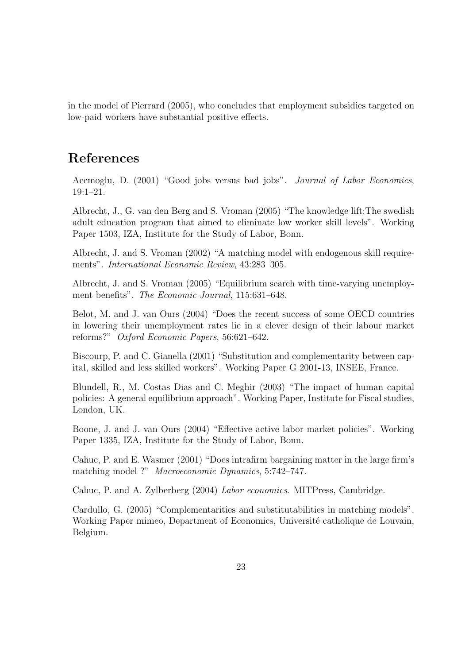in the model of Pierrard (2005), who concludes that employment subsidies targeted on low-paid workers have substantial positive effects.

#### **References**

Acemoglu, D. (2001) "Good jobs versus bad jobs". Journal of Labor Economics, 19:1–21.

Albrecht, J., G. van den Berg and S. Vroman (2005) "The knowledge lift:The swedish adult education program that aimed to eliminate low worker skill levels".Working Paper 1503, IZA, Institute for the Study of Labor, Bonn.

Albrecht, J. and S. Vroman (2002) "A matching model with endogenous skill requirements". International Economic Review, 43:283–305.

Albrecht, J.and S.Vroman (2005) "Equilibrium search with time-varying unemployment benefits". The Economic Journal, 115:631–648.

Belot, M.and J.van Ours (2004) "Does the recent success of some OECD countries in lowering their unemployment rates lie in a clever design of their labour market reforms?" Oxford Economic Papers, 56:621–642.

Biscourp, P.and C.Gianella (2001) "Substitution and complementarity between capital, skilled and less skilled workers".Working Paper G 2001-13, INSEE, France.

Blundell, R., M. Costas Dias and C. Meghir (2003) "The impact of human capital policies: A general equilibrium approach".Working Paper, Institute for Fiscal studies, London, UK.

Boone, J. and J. van Ours (2004) "Effective active labor market policies". Working Paper 1335, IZA, Institute for the Study of Labor, Bonn.

Cahuc, P.and E.Wasmer (2001) "Does intrafirm bargaining matter in the large firm's matching model ?" Macroeconomic Dynamics, 5:742–747.

Cahuc, P. and A. Zylberberg (2004) Labor economics. MITPress, Cambridge.

Cardullo, G.(2005) "Complementarities and substitutabilities in matching models". Working Paper mimeo, Department of Economics, Université catholique de Louvain, Belgium.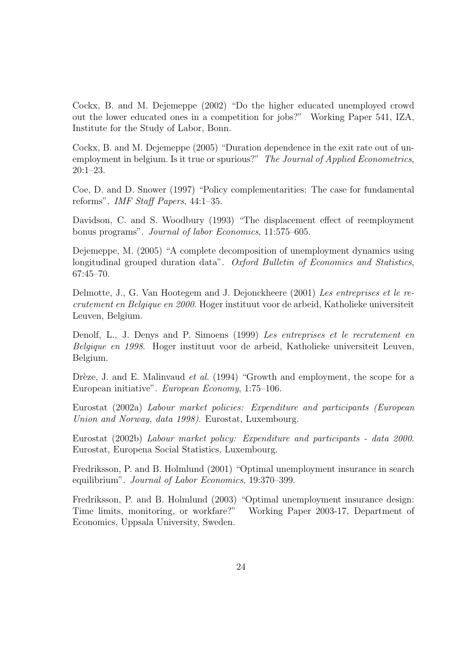Cockx, B.and M.Dejemeppe (2002) "Do the higher educated unemployed crowd out the lower educated ones in a competition for jobs?" Working Paper 541, IZA, Institute for the Study of Labor, Bonn.

Cockx, B.and M.Dejemeppe (2005) "Duration dependence in the exit rate out of unemployment in belgium. Is it true or spurious?" The Journal of Applied Econometrics, 20:1–23.

Coe, D.and D.Snower (1997) "Policy complementarities: The case for fundamental reforms". IMF Staff Papers, 44:1–35.

Davidson, C. and S. Woodbury (1993) "The displacement effect of reemployment bonus programs". Journal of labor Economics, 11:575–605.

Dejemeppe, M.(2005) "A complete decomposition of unemployment dynamics using longitudinal grouped duration data". Oxford Bulletin of Economics and Statistics, 67:45–70.

Delmotte, J., G.Van Hootegem and J.Dejonckheere (2001) Les entreprises et le recrutement en Belgique en 2000.Hoger instituut voor de arbeid, Katholieke universiteit Leuven, Belgium.

Denolf, L., J. Denys and P. Simoens (1999) Les entreprises et le recrutement en Belgique en 1998. Hoger instituut voor de arbeid, Katholieke universiteit Leuven, Belgium.

Drèze, J. and E. Malinvaud et al. (1994) "Growth and employment, the scope for a European initiative". European Economy, 1:75–106.

Eurostat (2002a) Labour market policies: Expenditure and participants (European Union and Norway, data 1998). Eurostat, Luxembourg.

Eurostat (2002b) Labour market policy: Expenditure and participants - data 2000. Eurostat, Europena Social Statistics, Luxembourg.

Fredriksson, P.and B.Holmlund (2001) "Optimal unemployment insurance in search equilibrium". Journal of Labor Economics, 19:370–399.

Fredriksson, P. and B. Holmlund (2003) "Optimal unemployment insurance design: Time limits, monitoring, or workfare?" Working Paper 2003-17, Department of Economics, Uppsala University, Sweden.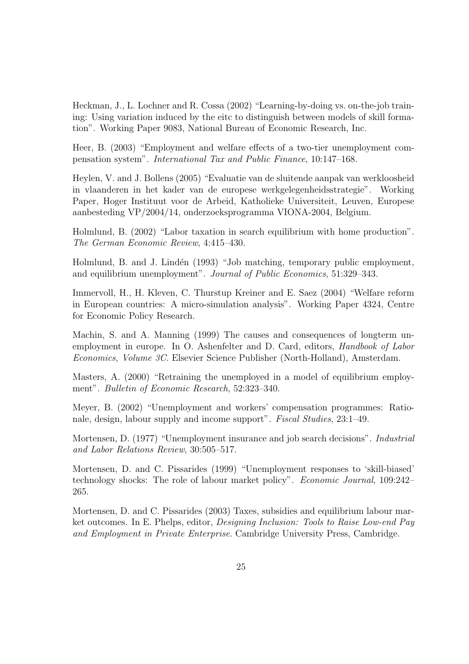Heckman, J., L. Lochner and R. Cossa (2002) "Learning-by-doing vs. on-the-job training: Using variation induced by the eitc to distinguish between models of skill formation". Working Paper 9083, National Bureau of Economic Research, Inc.

Heer, B.(2003) "Employment and welfare effects of a two-tier unemployment compensation system". International Tax and Public Finance, 10:147–168.

Heylen, V.and J.Bollens (2005) "Evaluatie van de sluitende aanpak van werkloosheid in vlaanderen in het kader van de europese werkgelegenheidsstrategie".Working Paper, Hoger Instituut voor de Arbeid, Katholieke Universiteit, Leuven, Europese aanbesteding VP/2004/14, onderzoeksprogramma VIONA-2004, Belgium.

Holmlund, B.(2002) "Labor taxation in search equilibrium with home production". The German Economic Review, 4:415–430.

Holmlund, B. and J. Lindén (1993) "Job matching, temporary public employment, and equilibrium unemployment". Journal of Public Economics, 51:329–343.

Immervoll, H., H. Kleven, C. Thurstup Kreiner and E. Saez (2004) "Welfare reform in European countries: A micro-simulation analysis".Working Paper 4324, Centre for Economic Policy Research.

Machin, S. and A. Manning (1999) The causes and consequences of longterm unemployment in europe. In O. Ashenfelter and D. Card, editors, *Handbook of Labor* Economics, Volume 3C.Elsevier Science Publisher (North-Holland), Amsterdam.

Masters, A. (2000) "Retraining the unemployed in a model of equilibrium employment". Bulletin of Economic Research, 52:323–340.

Meyer, B.(2002) "Unemployment and workers' compensation programmes: Rationale, design, labour supply and income support". Fiscal Studies, 23:1–49.

Mortensen, D.(1977) "Unemployment insurance and job search decisions". Industrial and Labor Relations Review, 30:505–517.

Mortensen, D. and C. Pissarides (1999) "Unemployment responses to 'skill-biased' technology shocks: The role of labour market policy". Economic Journal, 109:242– 265.

Mortensen, D. and C. Pissarides (2003) Taxes, subsidies and equilibrium labour market outcomes. In E. Phelps, editor, *Designing Inclusion: Tools to Raise Low-end Pay* and Employment in Private Enterprise.Cambridge University Press, Cambridge.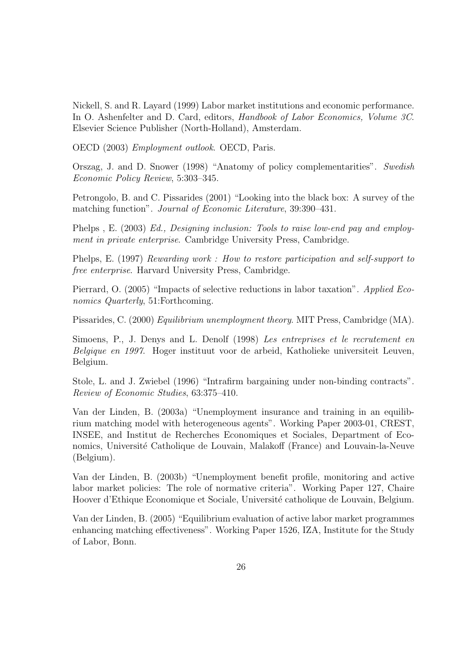Nickell, S.and R.Layard (1999) Labor market institutions and economic performance. In O. Ashenfelter and D. Card, editors, *Handbook of Labor Economics, Volume 3C.* Elsevier Science Publisher (North-Holland), Amsterdam.

OECD (2003) Employment outlook.OECD, Paris.

Orszag, J. and D. Snower (1998) "Anatomy of policy complementarities". Swedish Economic Policy Review, 5:303–345.

Petrongolo, B.and C.Pissarides (2001) "Looking into the black box: A survey of the matching function". Journal of Economic Literature, 39:390–431.

Phelps , E. (2003) Ed., Designing inclusion: Tools to raise low-end pay and employment in private enterprise. Cambridge University Press, Cambridge.

Phelps, E.(1997) Rewarding work : How to restore participation and self-support to free enterprise. Harvard University Press, Cambridge.

Pierrard, O.(2005) "Impacts of selective reductions in labor taxation". Applied Economics Quarterly, 51: Forthcoming.

Pissarides, C. (2000) Equilibrium unemployment theory. MIT Press, Cambridge (MA).

Simoens, P., J. Denys and L. Denolf (1998) Les entreprises et le recrutement en Belgique en 1997. Hoger instituut voor de arbeid, Katholieke universiteit Leuven, Belgium.

Stole, L.and J.Zwiebel (1996) "Intrafirm bargaining under non-binding contracts". Review of Economic Studies, 63:375–410.

Van der Linden, B.(2003a) "Unemployment insurance and training in an equilibrium matching model with heterogeneous agents".Working Paper 2003-01, CREST, INSEE, and Institut de Recherches Economiques et Sociales, Department of Economics, Université Catholique de Louvain, Malakoff (France) and Louvain-la-Neuve (Belgium).

Van der Linden, B.(2003b) "Unemployment benefit profile, monitoring and active labor market policies: The role of normative criteria". Working Paper 127, Chaire Hoover d'Ethique Economique et Sociale, Université catholique de Louvain, Belgium.

Van der Linden, B.(2005) "Equilibrium evaluation of active labor market programmes enhancing matching effectiveness".Working Paper 1526, IZA, Institute for the Study of Labor, Bonn.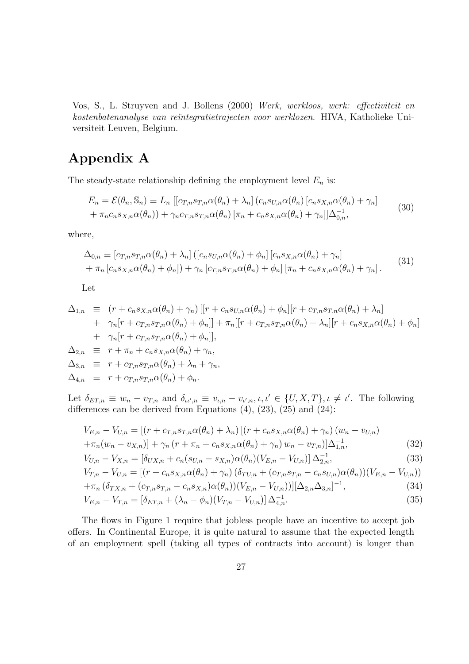Vos, S., L. Struyven and J. Bollens (2000) Werk, werkloos, werk: effectiviteit en kostenbatenanalyse van reïntegratietrajecten voor werklozen. HIVA, Katholieke Universiteit Leuven, Belgium.

### **Appendix A**

The steady-state relationship defining the employment level  $E_n$  is:

$$
E_n = \mathcal{E}(\theta_n, \mathbb{S}_n) \equiv L_n \left[ [c_{T,n} s_{T,n} \alpha(\theta_n) + \lambda_n] \left( c_n s_{U,n} \alpha(\theta_n) \left[ c_n s_{X,n} \alpha(\theta_n) + \gamma_n \right] \right. \right.+ \pi_n c_n s_{X,n} \alpha(\theta_n) \right) + \gamma_n c_{T,n} s_{T,n} \alpha(\theta_n) \left[ \pi_n + c_n s_{X,n} \alpha(\theta_n) + \gamma_n \right] \Delta_{0,n}^{-1},
$$
\n(30)

where,

$$
\Delta_{0,n} \equiv \left[c_{T,n}s_{T,n}\alpha(\theta_n) + \lambda_n\right] \left(\left[c_n s_{U,n}\alpha(\theta_n) + \phi_n\right]\left[c_n s_{X,n}\alpha(\theta_n) + \gamma_n\right] + \pi_n\left[c_n s_{X,n}\alpha(\theta_n) + \phi_n\right]\right] + \gamma_n\left[c_{T,n}s_{T,n}\alpha(\theta_n) + \phi_n\right]\left[\pi_n + c_n s_{X,n}\alpha(\theta_n) + \gamma_n\right].
$$
\n(31)

Let

$$
\Delta_{1,n} \equiv (r + c_n s_{X,n} \alpha(\theta_n) + \gamma_n) [[r + c_n s_{U,n} \alpha(\theta_n) + \phi_n] [r + c_{T,n} s_{T,n} \alpha(\theta_n) + \lambda_n] \n+ \gamma_n [r + c_{T,n} s_{T,n} \alpha(\theta_n) + \phi_n]] + \pi_n [[r + c_{T,n} s_{T,n} \alpha(\theta_n) + \lambda_n] [r + c_n s_{X,n} \alpha(\theta_n) + \phi_n] \n+ \gamma_n [r + c_{T,n} s_{T,n} \alpha(\theta_n) + \phi_n]],
$$
\n
$$
\Delta_{2,n} \equiv r + \pi_n + c_n s_{X,n} \alpha(\theta_n) + \gamma_n,
$$
\n
$$
\Delta_{3,n} \equiv r + c_{T,n} s_{T,n} \alpha(\theta_n) + \lambda_n + \gamma_n,
$$
\n
$$
\Delta_{4,n} \equiv r + c_{T,n} s_{T,n} \alpha(\theta_n) + \phi_n.
$$

Let  $\delta_{ET,n} \equiv w_n - v_{T,n}$  and  $\delta_{\iota \iota',n} \equiv v_{\iota,n} - v_{\iota',n}, \iota, \iota' \in \{U, X, T\}, \iota \neq \iota'.$  The following differences can be derived from Equations  $(4)$ ,  $(23)$ ,  $(25)$  and  $(24)$ :

$$
V_{E,n} - V_{U,n} = \left[ (r + c_{T,n} s_{T,n} \alpha(\theta_n) + \lambda_n) \left[ (r + c_n s_{X,n} \alpha(\theta_n) + \gamma_n) (w_n - v_{U,n}) + \pi_n (w_n - v_{X,n}) \right] + \gamma_n (r + \pi_n + c_n s_{X,n} \alpha(\theta_n) + \gamma_n) w_n - v_{T,n} \right] \Delta_{1,n}^{-1},
$$
\n(32)

$$
V_{U,n} - V_{X,n} = \left[ \delta_{UX,n} + c_n (s_{U,n} - s_{X,n}) \alpha(\theta_n) (V_{E,n} - V_{U,n}) \right] \Delta_{2,n}^{-1},
$$
\n(33)

$$
V_{T,n} - V_{U,n} = \left[ (r + c_n s_{X,n} \alpha(\theta_n) + \gamma_n) \left( \delta_{TU,n} + (c_{T,n} s_{T,n} - c_n s_{U,n}) \alpha(\theta_n) \right) (V_{E,n} - V_{U,n}) \right]
$$
  
+  $\pi_n \left( \delta_{TV,n} + (c_{T,n} s_{T,n} - c_n s_{V,n}) \alpha(\theta_n) \right) (V_{E,n} - V_{U,n}) \right) [\Delta_{2,n} \Delta_{2,n}]^{-1}$ . (34)

$$
+\pi_n(\delta_{TX,n} + (c_{T,n}s_{T,n} - c_ns_{X,n})\alpha(\theta_n))(V_{E,n} - V_{U,n}))][\Delta_{2,n}\Delta_{3,n}]^{-1},
$$
\n(34)

$$
V_{E,n} - V_{T,n} = \left[\delta_{ET,n} + (\lambda_n - \phi_n)(V_{T,n} - V_{U,n})\right] \Delta_{4,n}^{-1}.
$$
\n(35)

The flows in Figure 1 require that jobless people have an incentive to accept job offers.In Continental Europe, it is quite natural to assume that the expected length of an employment spell (taking all types of contracts into account) is longer than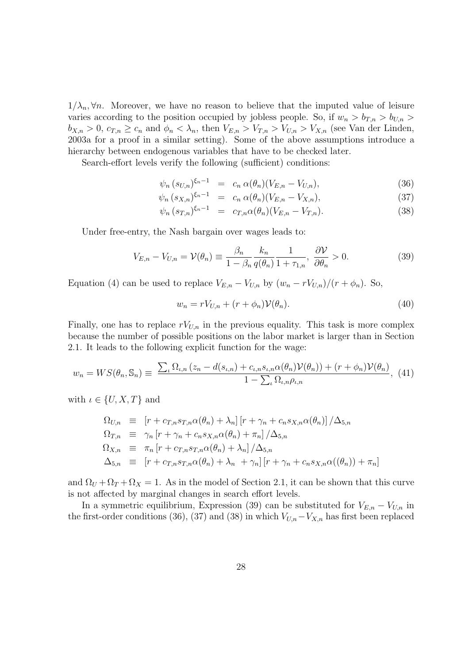$1/\lambda_n$ ,  $\forall n$ . Moreover, we have no reason to believe that the imputed value of leisure varies according to the position occupied by jobless people. So, if  $w_n > b_{T,n} > b_{U,n}$  $b_{X,n} > 0$ ,  $c_{T,n} \ge c_n$  and  $\phi_n < \lambda_n$ , then  $V_{E,n} > V_{T,n} > V_{U,n} > V_{X,n}$  (see Van der Linden, 2003a for a proof in a similar setting). Some of the above assumptions introduce a hierarchy between endogenous variables that have to be checked later.

Search-effort levels verify the following (sufficient) conditions:

$$
\psi_n (s_{U,n})^{\xi_n - 1} = c_n \alpha(\theta_n) (V_{E,n} - V_{U,n}), \qquad (36)
$$

$$
\psi_n (s_{X,n})^{\xi_n - 1} = c_n \alpha(\theta_n) (V_{E,n} - V_{X,n}), \qquad (37)
$$

$$
\psi_n (s_{T,n})^{\xi_n - 1} = c_{T,n} \alpha(\theta_n) (V_{E,n} - V_{T,n}). \tag{38}
$$

Under free-entry, the Nash bargain over wages leads to:

$$
V_{E,n} - V_{U,n} = \mathcal{V}(\theta_n) \equiv \frac{\beta_n}{1 - \beta_n} \frac{k_n}{q(\theta_n)} \frac{1}{1 + \tau_{1,n}}, \frac{\partial \mathcal{V}}{\partial \theta_n} > 0.
$$
 (39)

Equation (4) can be used to replace  $V_{E,n} - V_{U,n}$  by  $(w_n - rV_{U,n})/(r + \phi_n)$ . So,

$$
w_n = rV_{U,n} + (r + \phi_n)\mathcal{V}(\theta_n). \tag{40}
$$

Finally, one has to replace  $rV_{U,n}$  in the previous equality. This task is more complex because the number of possible positions on the labor market is larger than in Section 2.1. It leads to the following explicit function for the wage:

$$
w_n = WS(\theta_n, \mathbb{S}_n) \equiv \frac{\sum_{\iota} \Omega_{\iota,n} (z_n - d(s_{\iota,n}) + c_{\iota,n} s_{\iota,n} \alpha(\theta_n) \mathcal{V}(\theta_n)) + (r + \phi_n) \mathcal{V}(\theta_n)}{1 - \sum_{\iota} \Omega_{\iota,n} \rho_{\iota,n}}, \tag{41}
$$

with  $\iota \in \{U, X, T\}$  and

$$
\Omega_{U,n} \equiv [r + c_{T,n} s_{T,n} \alpha(\theta_n) + \lambda_n] [r + \gamma_n + c_n s_{X,n} \alpha(\theta_n)] / \Delta_{5,n}
$$
  
\n
$$
\Omega_{T,n} \equiv \gamma_n [r + \gamma_n + c_n s_{X,n} \alpha(\theta_n) + \pi_n] / \Delta_{5,n}
$$
  
\n
$$
\Omega_{X,n} \equiv \pi_n [r + c_{T,n} s_{T,n} \alpha(\theta_n) + \lambda_n] / \Delta_{5,n}
$$
  
\n
$$
\Delta_{5,n} \equiv [r + c_{T,n} s_{T,n} \alpha(\theta_n) + \lambda_n + \gamma_n] [r + \gamma_n + c_n s_{X,n} \alpha((\theta_n)) + \pi_n]
$$

and  $\Omega_U + \Omega_T + \Omega_X = 1$ . As in the model of Section 2.1, it can be shown that this curve is not affected by marginal changes in search effort levels.

In a symmetric equilibrium, Expression (39) can be substituted for  $V_{E,n} - V_{U,n}$  in the first-order conditions (36), (37) and (38) in which  $V_{U,n}-V_{X,n}$  has first been replaced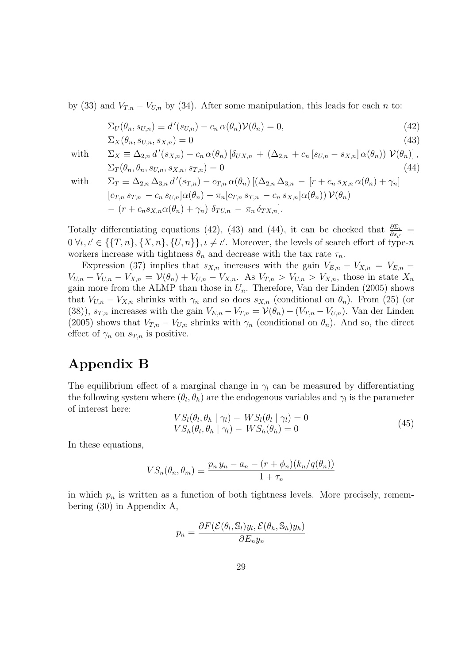by (33) and  $V_{T,n} - V_{U,n}$  by (34). After some manipulation, this leads for each n to:

$$
\Sigma_U(\theta_n, s_{U,n}) \equiv d'(s_{U,n}) - c_n \alpha(\theta_n) \mathcal{V}(\theta_n) = 0,
$$
\n(42)

$$
\Sigma_X(\theta_n, s_{U,n}, s_{X,n}) = 0 \tag{43}
$$

with

$$
\Sigma_X \equiv \Delta_{2,n} d'(s_{X,n}) - c_n \alpha(\theta_n) \left[ \delta_{UX,n} + (\Delta_{2,n} + c_n [s_{U,n} - s_{X,n}] \alpha(\theta_n)) \mathcal{V}(\theta_n) \right],
$$
  
\n
$$
\Sigma_T(\theta_n, \theta_n, s_{U,n}, s_{X,n}, s_{T,n}) = 0
$$
\n(44)

with

$$
\Sigma_T \equiv \Delta_{2,n} \Delta_{3,n} d'(s_{T,n}) - c_{T,n} \alpha(\theta_n) [(\Delta_{2,n} \Delta_{3,n} - [r + c_n s_{X,n} \alpha(\theta_n) + \gamma_n] [c_{T,n} s_{T,n} - c_n s_{U,n}] \alpha(\theta_n) - \pi_n [c_{T,n} s_{T,n} - c_n s_{X,n}] \alpha(\theta_n)) \mathcal{V}(\theta_n) - (r + c_n s_{X,n} \alpha(\theta_n) + \gamma_n) \delta_{TU,n} - \pi_n \delta_{TX,n}].
$$

Totally differentiating equations (42), (43) and (44), it can be checked that  $\frac{\partial \Sigma_i}{\partial s_{i'}}$  $0 \,\forall \iota, \iota' \in \{\{T, n\}, \{X, n\}, \{U, n\}\}, \iota \neq \iota'.$  Moreover, the levels of search effort of type-n workers increase with tightness  $\theta_n$  and decrease with the tax rate  $\tau_n$ .

Expression (37) implies that  $s_{X,n}$  increases with the gain  $V_{E,n} - V_{X,n} = V_{E,n}$  $V_{U,n} + V_{U,n} - V_{X,n} = \mathcal{V}(\theta_n) + V_{U,n} - V_{X,n}$ . As  $V_{T,n} > V_{U,n} > V_{X,n}$ , those in state  $X_n$ gain more from the ALMP than those in  $U_n$ . Therefore, Van der Linden (2005) shows that  $V_{U,n} - V_{X,n}$  shrinks with  $\gamma_n$  and so does  $s_{X,n}$  (conditional on  $\theta_n$ ). From (25) (or (38)),  $s_{T,n}$  increases with the gain  $V_{E,n} - V_{T,n} = \mathcal{V}(\theta_n) - (V_{T,n} - V_{U,n})$ . Van der Linden (2005) shows that  $V_{T,n} - V_{U,n}$  shrinks with  $\gamma_n$  (conditional on  $\theta_n$ ). And so, the direct effect of  $\gamma_n$  on  $s_{T,n}$  is positive.

## **Appendix B**

The equilibrium effect of a marginal change in  $\gamma_l$  can be measured by differentiating the following system where  $(\theta_l, \theta_h)$  are the endogenous variables and  $\gamma_l$  is the parameter of interest here:

$$
VS_{l}(\theta_{l}, \theta_{h} \mid \gamma_{l}) - WS_{l}(\theta_{l} \mid \gamma_{l}) = 0
$$
  
\n
$$
VS_{h}(\theta_{l}, \theta_{h} \mid \gamma_{l}) - WS_{h}(\theta_{h}) = 0
$$
\n(45)

In these equations,

$$
VS_n(\theta_n, \theta_m) \equiv \frac{p_n y_n - a_n - (r + \phi_n)(k_n/q(\theta_n))}{1 + \tau_n}
$$

in which  $p_n$  is written as a function of both tightness levels. More precisely, remembering (30) in Appendix A,

$$
p_n = \frac{\partial F(\mathcal{E}(\theta_l, \mathbb{S}_l)y_l, \mathcal{E}(\theta_h, \mathbb{S}_h)y_h)}{\partial E_n y_n}
$$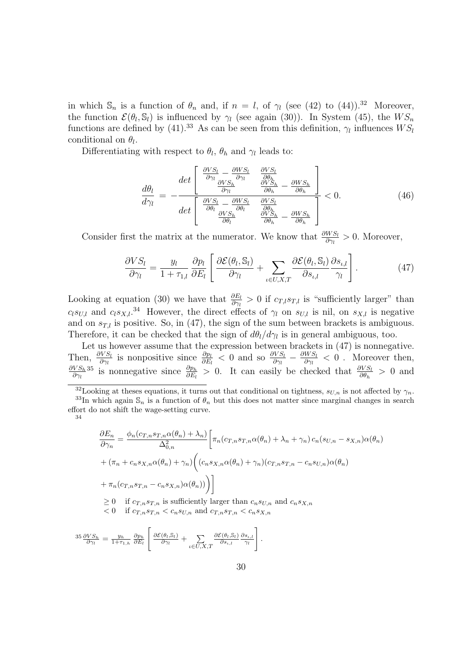in which  $\mathbb{S}_n$  is a function of  $\theta_n$  and, if  $n = l$ , of  $\gamma_l$  (see (42) to (44)).<sup>32</sup> Moreover, the function  $\mathcal{E}(\theta_l, \mathbb{S}_l)$  is influenced by  $\gamma_l$  (see again (30)). In System (45), the  $WS_n$ functions are defined by (41).<sup>33</sup> As can be seen from this definition,  $\gamma_l$  influences  $WS_l$ conditional on  $\theta_l$ .

Differentiating with respect to  $\theta_l$ ,  $\theta_h$  and  $\gamma_l$  leads to:

$$
\frac{d\theta_l}{d\gamma_l} = -\frac{det \left[ \begin{array}{cc} \frac{\partial VS_l}{\partial \gamma_l} - \frac{\partial WS_l}{\partial \gamma_l} & \frac{\partial VS_l}{\partial \theta_h} \\ \frac{\partial VS_h}{\partial \gamma_l} & \frac{\partial VS_h}{\partial \theta_h} - \frac{\partial WS_h}{\partial \theta_h} \end{array} \right]}{det \left[ \begin{array}{cc} \frac{\partial VS_l}{\partial \theta_l} - \frac{\partial WS_l}{\partial \theta_l} & \frac{\partial VS_l}{\partial \theta_h} \\ \frac{\partial VS_l}{\partial \theta_l} & \frac{\partial VS_h}{\partial \theta_h} - \frac{\partial WS_h}{\partial \theta_h} \end{array} \right]} < 0.
$$
\n(46)

Consider first the matrix at the numerator. We know that  $\frac{\partial WS_l}{\partial \gamma_l} > 0$ . Moreover,

$$
\frac{\partial VS_l}{\partial \gamma_l} = \frac{y_l}{1 + \tau_{1,l}} \frac{\partial p_l}{\partial E_l} \left[ \frac{\partial \mathcal{E}(\theta_l, \mathbb{S}_l)}{\partial \gamma_l} + \sum_{\iota \in U, X, T} \frac{\partial \mathcal{E}(\theta_l, \mathbb{S}_l)}{\partial s_{\iota, l}} \frac{\partial s_{\iota, l}}{\gamma_l} \right]. \tag{47}
$$

Looking at equation (30) we have that  $\frac{\partial E_l}{\partial \gamma_l} > 0$  if  $c_{T,l} s_{T,l}$  is "sufficiently larger" than  $c_l s_{U,l}$  and  $c_l s_{X,l}$ .<sup>34</sup> However, the direct effects of  $\gamma_l$  on  $s_{U,l}$  is nil, on  $s_{X,l}$  is negative and on  $s_{T,l}$  is positive. So, in (47), the sign of the sum between brackets is ambiguous. Therefore, it can be checked that the sign of  $d\theta_l/d\gamma_l$  is in general ambiguous, too.

Let us however assume that the expression between brackets in  $(47)$  is nonnegative. Then,  $\frac{\partial VS_l}{\partial \gamma_l}$  is nonpositive since  $\frac{\partial p_l}{\partial E_l} < 0$  and so  $\frac{\partial VS_l}{\partial \gamma_l} - \frac{\partial WS_l}{\partial \gamma_l} < 0$ . Moreover then, ∂V S*<sup>h</sup>*  $\frac{VS_h}{\partial \gamma_l}$ <sup>35</sup> is nonnegative since  $\frac{\partial p_h}{\partial E_l} > 0$ . It can easily be checked that  $\frac{\partial VS_l}{\partial \theta_h} > 0$  and

$$
\frac{\partial E_n}{\partial \gamma_n} = \frac{\phi_n(c_{T,n} s_{T,n} \alpha(\theta_n) + \lambda_n)}{\Delta_{0,n}^2} \left[ \pi_n(c_{T,n} s_{T,n} \alpha(\theta_n) + \lambda_n + \gamma_n) c_n(s_{U,n} - s_{X,n}) \alpha(\theta_n) \right.
$$
  
+  $(\pi_n + c_n s_{X,n} \alpha(\theta_n) + \gamma_n) \Big( (c_n s_{X,n} \alpha(\theta_n) + \gamma_n) (c_{T,n} s_{T,n} - c_n s_{U,n}) \alpha(\theta_n) \Big)$   
+  $\pi_n(c_{T,n} s_{T,n} - c_n s_{X,n}) \alpha(\theta_n)) \Big) \Big]$   
 $\geq 0$  if  $c_{T,n} s_{T,n}$  is sufficiently larger than  $c_n s_{U,n}$  and  $c_n s_{X,n}$   
 $< 0$  if  $c_{T,n} s_{T,n} < c_n s_{U,n}$  and  $c_{T,n} s_{T,n} < c_n s_{X,n}$ 

$$
^{35}\frac{\partial VS_h}{\partial \gamma_l} = \frac{y_h}{1+\tau_{1,h}}\frac{\partial p_h}{\partial E_l}\left[\frac{\partial \mathcal{E}(\theta_l,\mathbb{S}_l)}{\partial \gamma_l} + \sum_{\iota \in U,X,T} \frac{\partial \mathcal{E}(\theta_l,\mathbb{S}_l)}{\partial s_{\iota,l}}\frac{\partial s_{\iota,l}}{\gamma_l}\right].
$$

<sup>&</sup>lt;sup>32</sup>Looking at theses equations, it turns out that conditional on tightness,  $s_{U,n}$  is not affected by  $\gamma_n$ .<br><sup>33</sup>In which again  $\mathbb{S}_n$  is a function of  $\theta_n$  but this does not matter since marginal changes in search effort do not shift the wage-setting curve. 34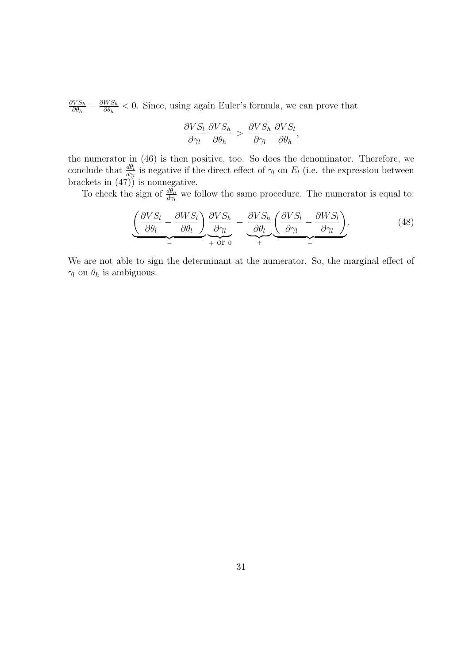$\frac{\partial V S_h}{\partial \theta_h} - \frac{\partial W S_h}{\partial \theta_h} < 0$ . Since, using again Euler's formula, we can prove that

$$
\frac{\partial VS_l}{\partial \gamma_l} \frac{\partial VS_h}{\partial \theta_h} > \frac{\partial VS_h}{\partial \gamma_l} \frac{\partial VS_l}{\partial \theta_h},
$$

the numerator in  $(46)$  is then positive, too. So does the denominator. Therefore, we conclude that  $\frac{d\theta_l}{d\gamma_l}$  is negative if the direct effect of  $\gamma_l$  on  $E_l$  (i.e. the expression between brackets in (47)) is nonnegative.

To check the sign of  $\frac{d\theta_h}{d\gamma_l}$  we follow the same procedure. The numerator is equal to:

$$
\underbrace{\left(\frac{\partial VS_l}{\partial \theta_l} - \frac{\partial WS_l}{\partial \theta_l}\right)}_{-} \underbrace{\frac{\partial VS_h}{\partial \gamma_l}}_{+ \text{ or } 0} - \underbrace{\frac{\partial VS_h}{\partial \theta_l}}_{+} \underbrace{\left(\frac{\partial VS_l}{\partial \gamma_l} - \frac{\partial WS_l}{\partial \gamma_l}\right)}_{-}.
$$
(48)

We are not able to sign the determinant at the numerator. So, the marginal effect of  $\gamma_l$  on  $\theta_h$  is ambiguous.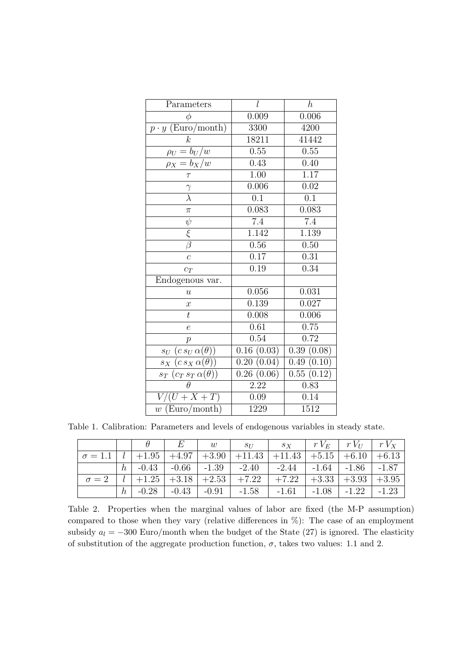| Parameters                                | l                       | $\boldsymbol{h}$ |
|-------------------------------------------|-------------------------|------------------|
| $\phi$                                    | 0.009                   | 0.006            |
| $p \cdot y$ (Euro/month)                  | 3300                    | 4200             |
| $\boldsymbol{k}$                          | 18211                   | 41442            |
| $\rho_U = b_U/w$                          | 0.55                    | 0.55             |
| $\rho_X = b_X/w$                          | 0.43                    | 0.40             |
| $\tau$                                    | $\overline{1.00}$       | 1.17             |
|                                           | 0.006                   | 0.02             |
|                                           | $\overline{0.1}$        | 0.1              |
| $\pi$                                     | 0.083                   | 0.083            |
| $\psi$                                    | $7.4\,$                 | 7.4              |
| $rac{\xi}{\beta}$                         | 1.142                   | 1.139            |
|                                           | 0.56                    | 0.50             |
| $\overline{c}$                            | 0.17                    | 0.31             |
| $c_T$                                     | 0.19                    | 0.34             |
| Endogenous var.                           |                         |                  |
| $\boldsymbol{u}$                          | 0.056                   | 0.031            |
| $\boldsymbol{x}$                          | 0.139                   | 0.027            |
| $\bar{t}$                                 | 0.008                   | 0.006            |
| $\epsilon$                                | $\overline{0.61}$       | 0.75             |
| $\boldsymbol{p}$                          | $\overline{0.54}$       | 0.72             |
| $s_U\;(c\,s_U\,\alpha(\theta))$           | $\overline{0.16(0.03)}$ | 0.39(0.08)       |
| $(c s_X \alpha(\theta))$<br>$s_X$         | 0.20(0.04)              | 0.49(0.10)       |
| $(c_T \, s_T \, \alpha(\theta))$<br>$s_T$ | 0.26(0.06)              | 0.55(0.12)       |
| $\theta$                                  | 2.22                    | 0.83             |
| $\overline{(U+X+T)}$<br>$V\prime$         | 0.09                    | 0.14             |
| $w$ (Euro/month)                          | 1229                    | 1512             |

Table 1. Calibration: Parameters and levels of endogenous variables in steady state.

| $\sigma = 1.1$   $l$   +1.95   +4.97   +3.90   +11.43   +11.43   +5.15   +6.10   +6.13 |   |  |  |                                                                                                    |  |  |
|----------------------------------------------------------------------------------------|---|--|--|----------------------------------------------------------------------------------------------------|--|--|
|                                                                                        |   |  |  | $h$   $-0.43$   $-0.66$   $-1.39$   $-2.40$   $-2.44$   $-1.64$   $-1.86$   $-1.87$                |  |  |
|                                                                                        |   |  |  | $\sigma = 2$   $l$   $+1.25$   $+3.18$   $+2.53$   $+7.22$   $+7.22$   $+3.33$   $+3.93$   $+3.95$ |  |  |
|                                                                                        | h |  |  | $-0.28$ $-0.43$ $-0.91$ $-1.58$ $-1.61$ $-1.08$ $-1.22$ $-1.23$                                    |  |  |

Table 2. Properties when the marginal values of labor are fixed (the M-P assumption) compared to those when they vary (relative differences in %): The case of an employment subsidy  $a_l = -300$  Euro/month when the budget of the State (27) is ignored. The elasticity of substitution of the aggregate production function,  $\sigma$ , takes two values: 1.1 and 2.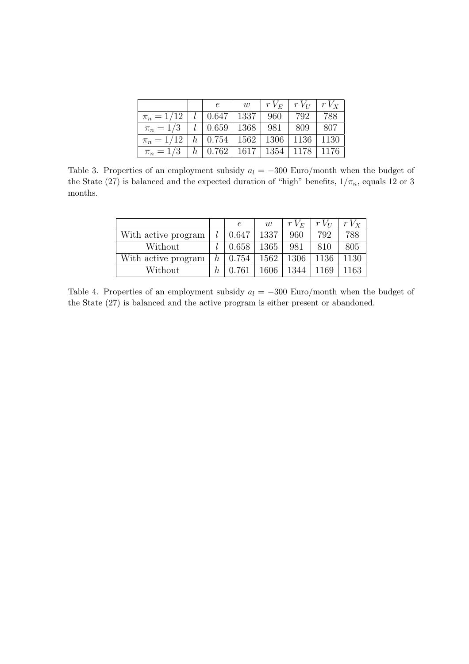|                                                                      |  | w | $\mid rV_E \mid rV_U \mid rV_X$ |  |
|----------------------------------------------------------------------|--|---|---------------------------------|--|
| $\pi_n = 1/12$   1   0.647   1337   960   792   788                  |  |   |                                 |  |
| $\pi_n = 1/3 \mid l \mid 0.659 \mid 1368 \mid 981 \mid 809 \mid 807$ |  |   |                                 |  |
| $\pi_n = 1/12$   h   0.754   1562   1306   1136   1130               |  |   |                                 |  |
| $\pi_n = 1/3$   h   0.762   1617   1354   1178   1176                |  |   |                                 |  |

Table 3. Properties of an employment subsidy  $a_l = -300$  Euro/month when the budget of the State (27) is balanced and the expected duration of "high" benefits,  $1/\pi_n$ , equals 12 or 3 months.

|                     |         | $\epsilon$ | W    | $rV_E$ | $rV_{II}$ | $rV_{x}$ |
|---------------------|---------|------------|------|--------|-----------|----------|
| With active program |         | 0.647      | 1337 | 960    | 792       | 788      |
| Without             |         | 0.658      | 1365 | 981    | 810       | 805      |
| With active program | $\hbar$ | 0.754      | 1562 | 1306   | 1136      | 1130     |
| Without             | h       | 0.761      | 1606 | 1344   | 1169      | 1163     |

Table 4. Properties of an employment subsidy  $a_l = -300$  Euro/month when the budget of the State (27) is balanced and the active program is either present or abandoned.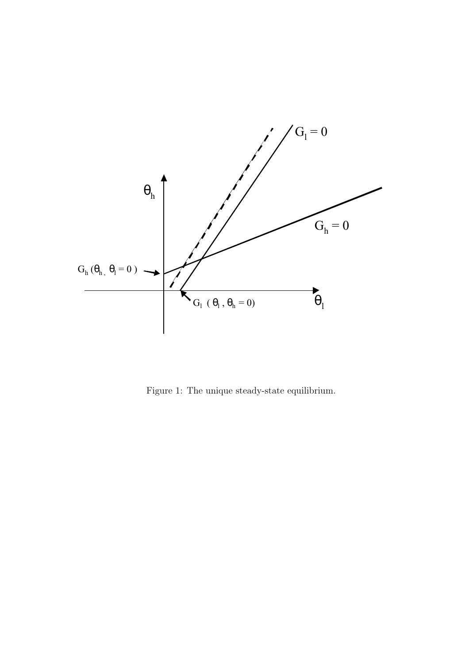

Figure 1: The unique steady-state equilibrium.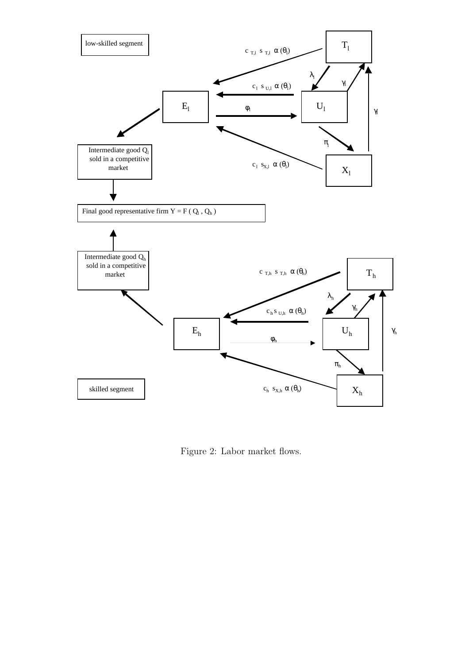

Figure 2: Labor market flows.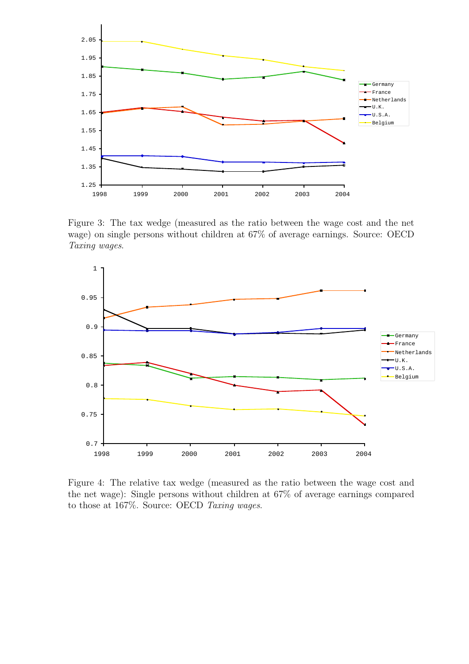

Figure 3: The tax wedge (measured as the ratio between the wage cost and the net wage) on single persons without children at  $67\%$  of average earnings. Source: OECD Taxing wages.



Figure 4: The relative tax wedge (measured as the ratio between the wage cost and the net wage): Single persons without children at 67% of average earnings compared to those at  $167\%$ . Source: OECD Taxing wages.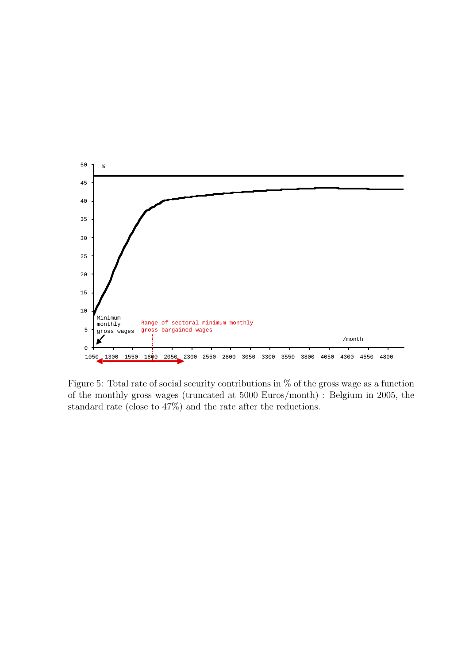

Figure 5: Total rate of social security contributions in % of the gross wage as a function of the monthly gross wages (truncated at 5000 Euros/month) : Belgium in 2005, the standard rate (close to 47%) and the rate after the reductions.